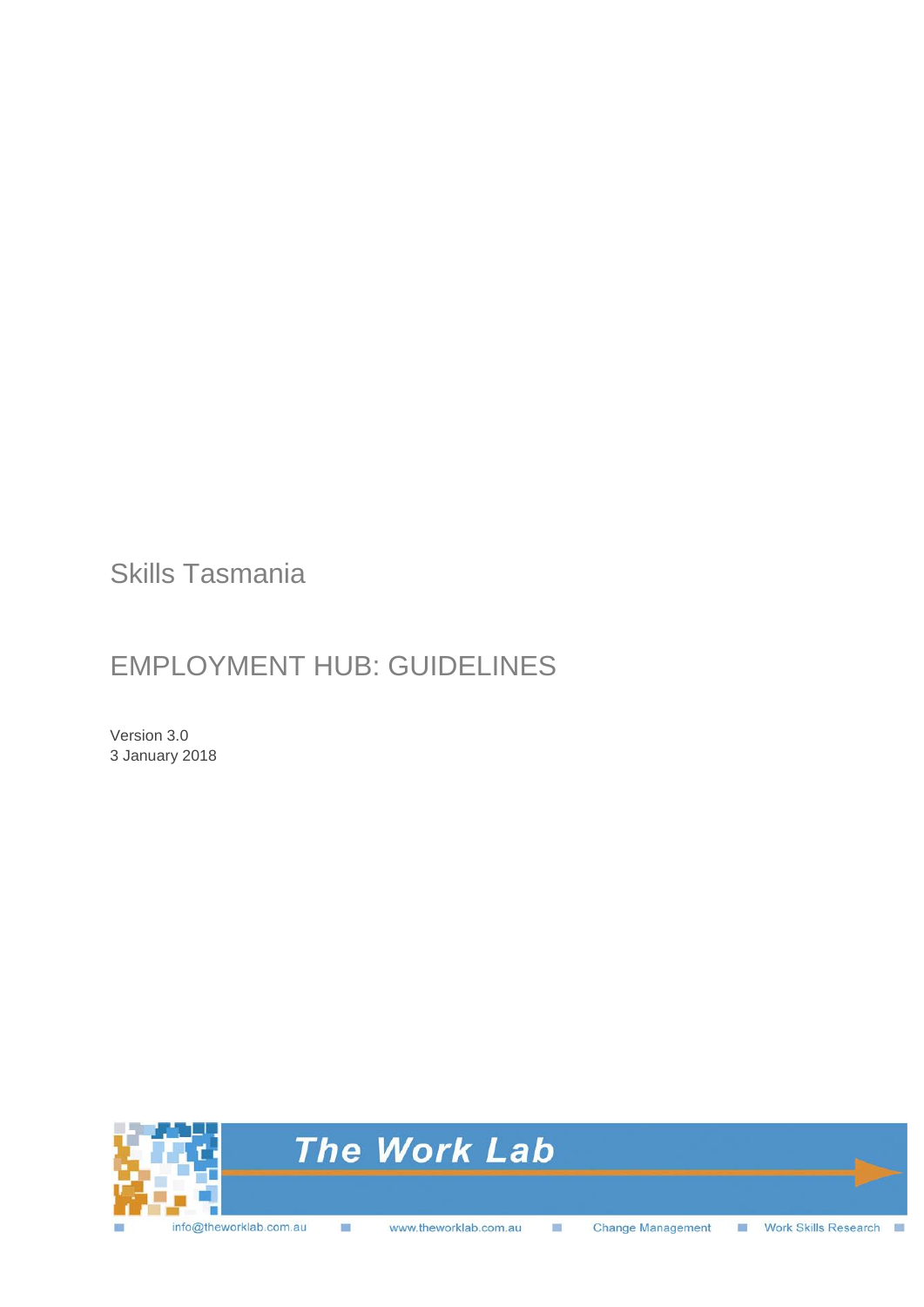Skills Tasmania

## EMPLOYMENT HUB: GUIDELINES

Version 3.0 3 January 2018

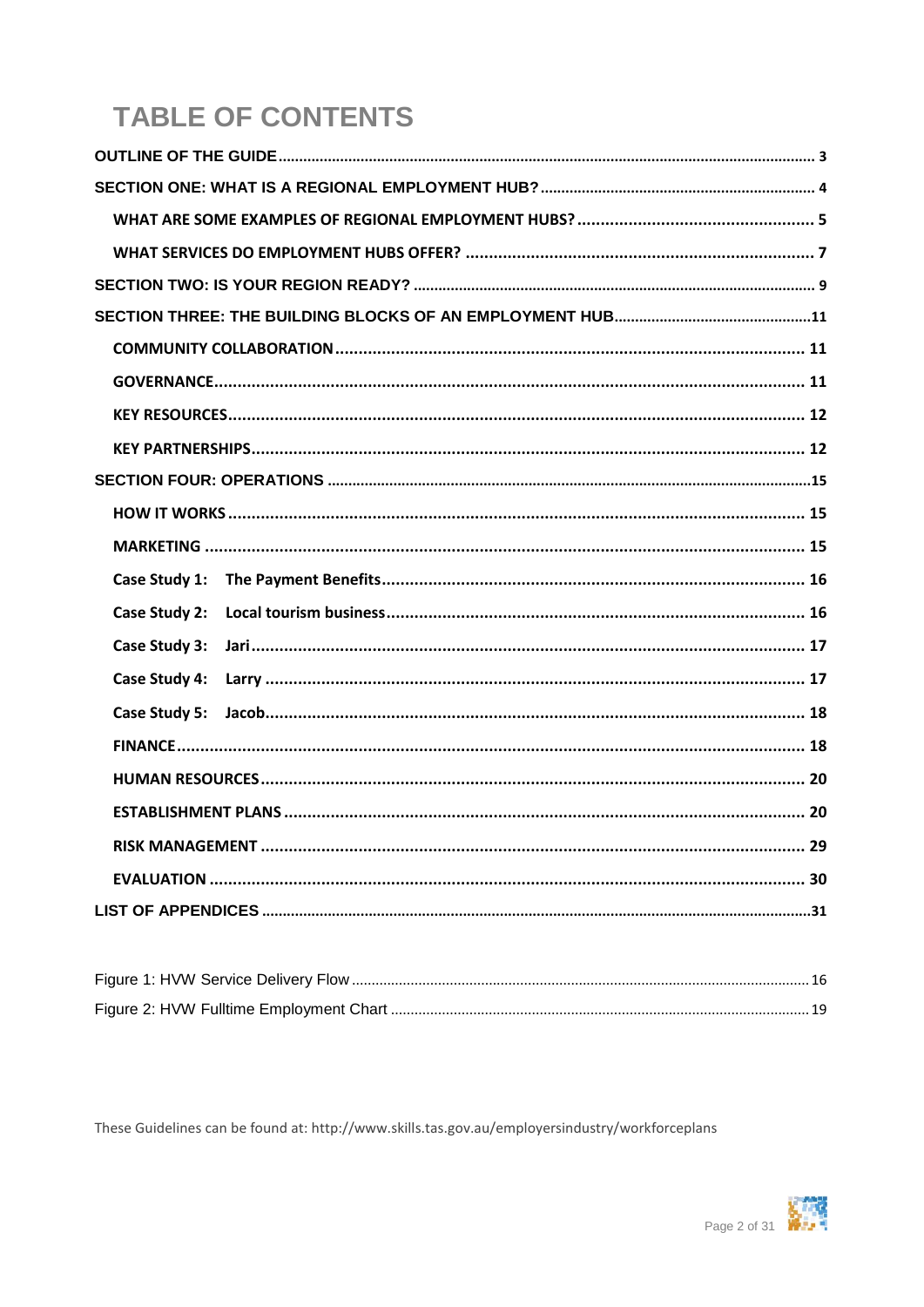# **TABLE OF CONTENTS**

| Case Study 2: |  |
|---------------|--|
| Case Study 3: |  |
|               |  |
|               |  |
|               |  |
|               |  |
|               |  |
|               |  |
|               |  |
|               |  |
|               |  |

These Guidelines can be found at: http://www.skills.tas.gov.au/employersindustry/workforceplans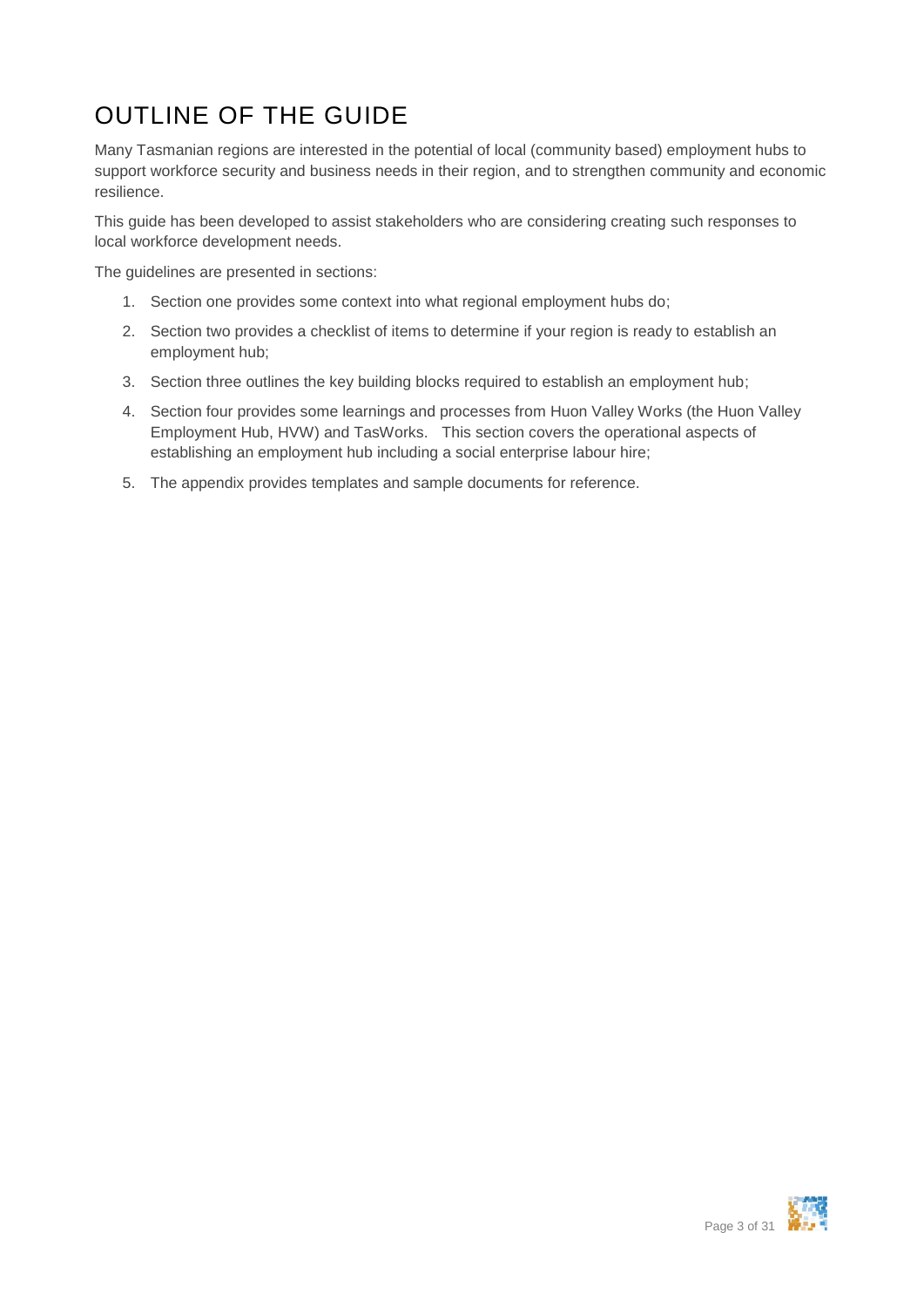# <span id="page-2-0"></span>OUTLINE OF THE GUIDE

Many Tasmanian regions are interested in the potential of local (community based) employment hubs to support workforce security and business needs in their region, and to strengthen community and economic resilience.

This guide has been developed to assist stakeholders who are considering creating such responses to local workforce development needs.

The guidelines are presented in sections:

- 1. Section one provides some context into what regional employment hubs do;
- 2. Section two provides a checklist of items to determine if your region is ready to establish an employment hub;
- 3. Section three outlines the key building blocks required to establish an employment hub;
- 4. Section four provides some learnings and processes from Huon Valley Works (the Huon Valley Employment Hub, HVW) and TasWorks. This section covers the operational aspects of establishing an employment hub including a social enterprise labour hire;
- 5. The appendix provides templates and sample documents for reference.

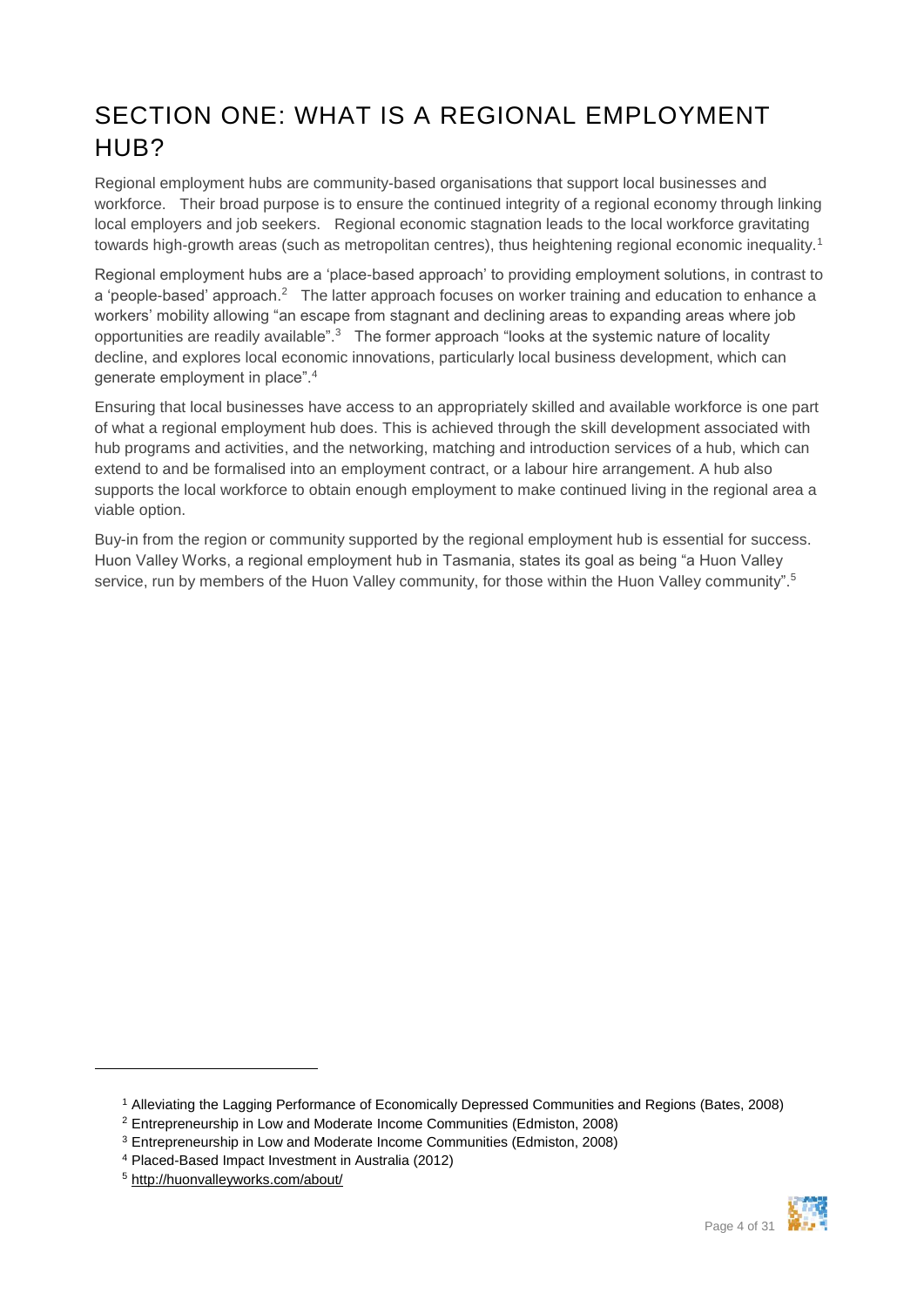### <span id="page-3-0"></span>SECTION ONE: WHAT IS A REGIONAL EMPLOYMENT HUB?

Regional employment hubs are community-based organisations that support local businesses and workforce. Their broad purpose is to ensure the continued integrity of a regional economy through linking local employers and job seekers. Regional economic stagnation leads to the local workforce gravitating towards high-growth areas (such as metropolitan centres), thus heightening regional economic inequality.<sup>1</sup>

Regional employment hubs are a 'place-based approach' to providing employment solutions, in contrast to a 'people-based' approach.<sup>2</sup> The latter approach focuses on worker training and education to enhance a workers' mobility allowing "an escape from stagnant and declining areas to expanding areas where job opportunities are readily available".<sup>3</sup> The former approach "looks at the systemic nature of locality decline, and explores local economic innovations, particularly local business development, which can generate employment in place".<sup>4</sup>

Ensuring that local businesses have access to an appropriately skilled and available workforce is one part of what a regional employment hub does. This is achieved through the skill development associated with hub programs and activities, and the networking, matching and introduction services of a hub, which can extend to and be formalised into an employment contract, or a labour hire arrangement. A hub also supports the local workforce to obtain enough employment to make continued living in the regional area a viable option.

Buy-in from the region or community supported by the regional employment hub is essential for success. Huon Valley Works, a regional employment hub in Tasmania, states its goal as being "a Huon Valley service, run by members of the Huon Valley community, for those within the Huon Valley community".<sup>5</sup>



<sup>1</sup> Alleviating the Lagging Performance of Economically Depressed Communities and Regions (Bates, 2008)

<sup>2</sup> Entrepreneurship in Low and Moderate Income Communities (Edmiston, 2008)

<sup>3</sup> Entrepreneurship in Low and Moderate Income Communities (Edmiston, 2008)

<sup>4</sup> Placed-Based Impact Investment in Australia (2012)

<sup>5</sup> http://huonvalleyworks.com/about/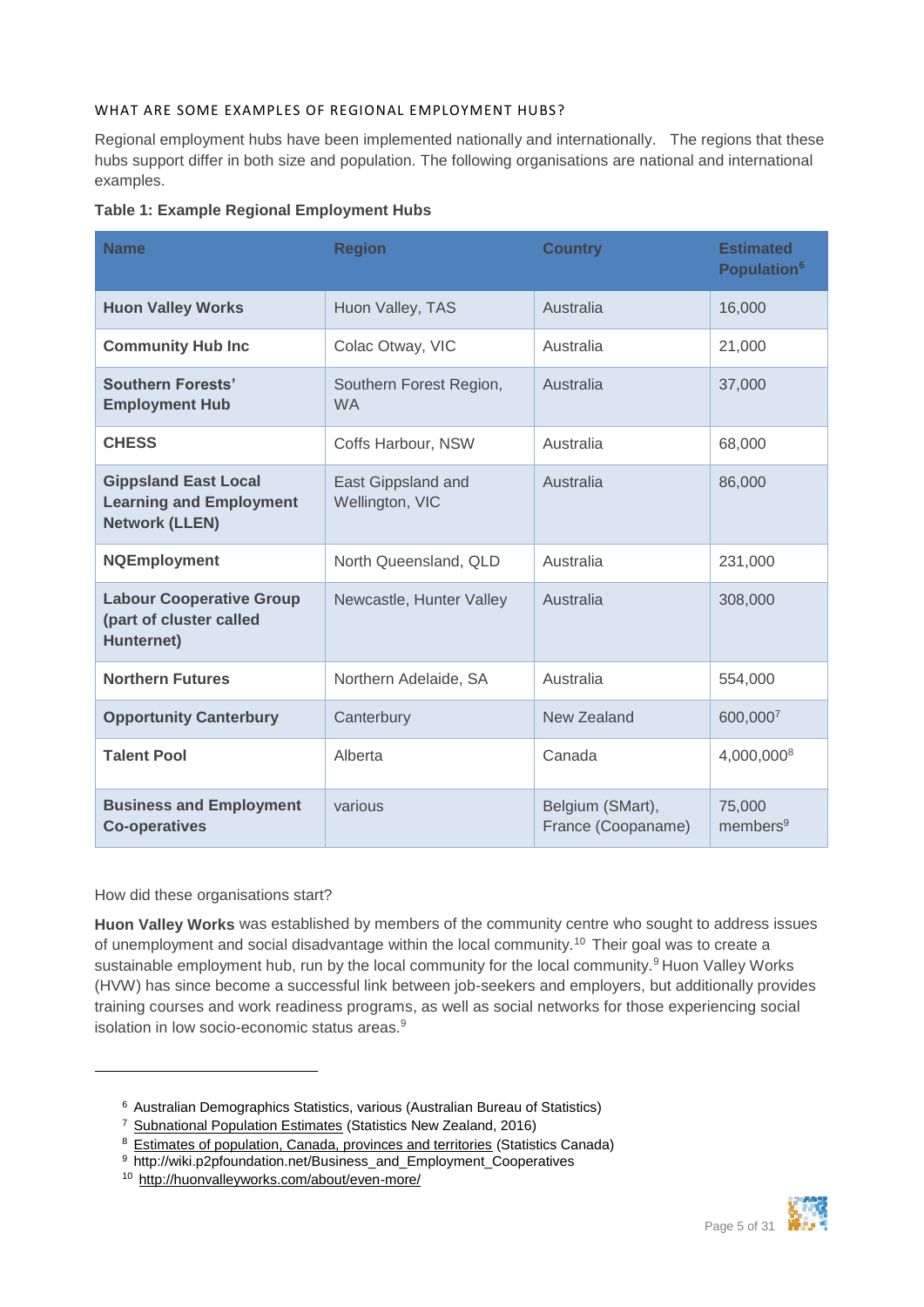#### <span id="page-4-0"></span>WHAT ARE SOME EXAMPLES OF REGIONAL EMPLOYMENT HUBS?

Regional employment hubs have been implemented nationally and internationally. The regions that these hubs support differ in both size and population. The following organisations are national and international examples.

|  |  |  | Table 1: Example Regional Employment Hubs |  |
|--|--|--|-------------------------------------------|--|
|--|--|--|-------------------------------------------|--|

| <b>Name</b>                                                                            | <b>Region</b>                         | <b>Country</b>                         | <b>Estimated</b><br>Population <sup>6</sup> |
|----------------------------------------------------------------------------------------|---------------------------------------|----------------------------------------|---------------------------------------------|
| <b>Huon Valley Works</b>                                                               | Huon Valley, TAS                      | Australia                              | 16,000                                      |
| <b>Community Hub Inc</b>                                                               | Colac Otway, VIC                      | Australia                              | 21,000                                      |
| Southern Forests'<br><b>Employment Hub</b>                                             | Southern Forest Region,<br><b>WA</b>  | Australia                              | 37,000                                      |
| <b>CHESS</b>                                                                           | Coffs Harbour, NSW                    | Australia                              | 68,000                                      |
| <b>Gippsland East Local</b><br><b>Learning and Employment</b><br><b>Network (LLEN)</b> | East Gippsland and<br>Wellington, VIC | Australia                              | 86,000                                      |
| <b>NQEmployment</b>                                                                    | North Queensland, QLD                 | Australia                              | 231,000                                     |
| <b>Labour Cooperative Group</b><br>(part of cluster called<br>Hunternet)               | Newcastle, Hunter Valley              | Australia                              | 308,000                                     |
| <b>Northern Futures</b>                                                                | Northern Adelaide, SA                 | Australia                              | 554,000                                     |
| <b>Opportunity Canterbury</b>                                                          | Canterbury                            | New Zealand                            | 600,0007                                    |
| <b>Talent Pool</b>                                                                     | Alberta                               | Canada                                 | 4,000,0008                                  |
| <b>Business and Employment</b><br><b>Co-operatives</b>                                 | various                               | Belgium (SMart),<br>France (Coopaname) | 75,000<br>members <sup>9</sup>              |

How did these organisations start?

 $\overline{a}$ 

**Huon Valley Works** was established by members of the community centre who sought to address issues of unemployment and social disadvantage within the local community.<sup>10</sup> Their goal was to create a sustainable employment hub, run by the local community for the local community.<sup>9</sup> Huon Valley Works (HVW) has since become a successful link between job-seekers and employers, but additionally provides training courses and work readiness programs, as well as social networks for those experiencing social isolation in low socio-economic status areas.<sup>9</sup>



<sup>6</sup> Australian Demographics Statistics, various (Australian Bureau of Statistics)

<sup>7</sup> [Subnational Population Estimates](http://www.stats.govt.nz/browse_for_stats/population/estimates_and_projections/SubnationalPopulationEstimates_HOTPAtJun16.aspx) (Statistics New Zealand, 2016)

<sup>8</sup> [Estimates of population, Canada, provinces and territories](http://www5.statcan.gc.ca/cansim/a26?lang=eng&retrLang=eng&id=0510005&paSer=&pattern=&stByVal=1&p1=1&p2=31&tabMode=dataTable&csid=) (Statistics Canada)

<sup>9</sup> http://wiki.p2pfoundation.net/Business\_and\_Employment\_Cooperatives

<sup>10</sup> http://huonvalleyworks.com/about/even-more/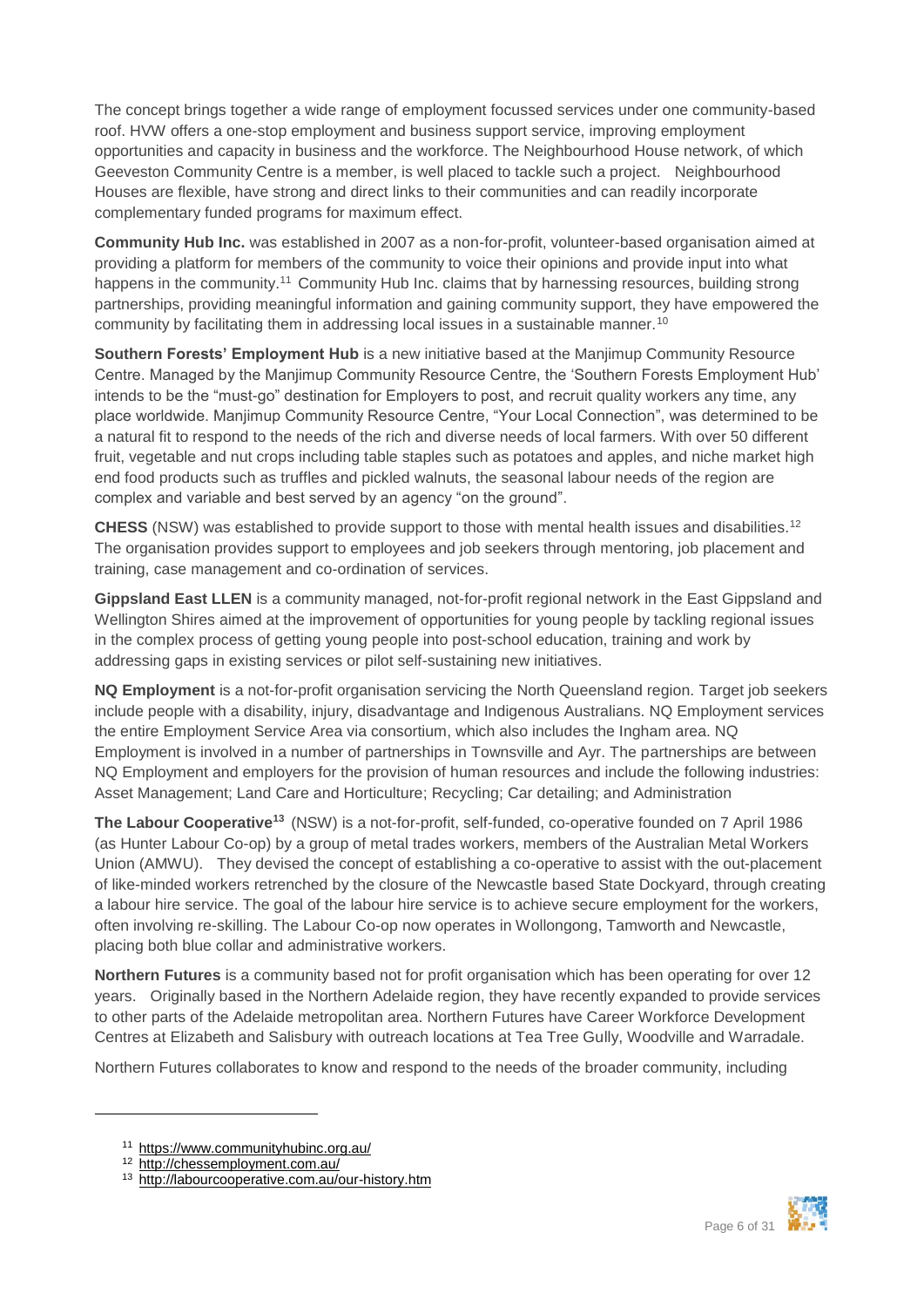The concept brings together a wide range of employment focussed services under one community-based roof. HVW offers a one-stop employment and business support service, improving employment opportunities and capacity in business and the workforce. The Neighbourhood House network, of which Geeveston Community Centre is a member, is well placed to tackle such a project. Neighbourhood Houses are flexible, have strong and direct links to their communities and can readily incorporate complementary funded programs for maximum effect.

**Community Hub Inc.** was established in 2007 as a non-for-profit, volunteer-based organisation aimed at providing a platform for members of the community to voice their opinions and provide input into what happens in the community.<sup>11</sup> Community Hub Inc. claims that by harnessing resources, building strong partnerships, providing meaningful information and gaining community support, they have empowered the community by facilitating them in addressing local issues in a sustainable manner.<sup>10</sup>

**Southern Forests' Employment Hub** is a new initiative based at the Manjimup Community Resource Centre. Managed by the Manjimup Community Resource Centre, the 'Southern Forests Employment Hub' intends to be the "must-go" destination for Employers to post, and recruit quality workers any time, any place worldwide. Manjimup Community Resource Centre, "Your Local Connection", was determined to be a natural fit to respond to the needs of the rich and diverse needs of local farmers. With over 50 different fruit, vegetable and nut crops including table staples such as potatoes and apples, and niche market high end food products such as truffles and pickled walnuts, the seasonal labour needs of the region are complex and variable and best served by an agency "on the ground".

**CHESS** (NSW) was established to provide support to those with mental health issues and disabilities.<sup>12</sup> The organisation provides support to employees and job seekers through mentoring, job placement and training, case management and co-ordination of services.

**Gippsland East LLEN** is a community managed, not-for-profit regional network in the East Gippsland and Wellington Shires aimed at the improvement of opportunities for young people by tackling regional issues in the complex process of getting young people into post-school education, training and work by addressing gaps in existing services or pilot self-sustaining new initiatives.

**NQ Employment** is a not-for-profit organisation servicing the North Queensland region. Target job seekers include people with a disability, injury, disadvantage and Indigenous Australians. NQ Employment services the entire Employment Service Area via consortium, which also includes the Ingham area. NQ Employment is involved in a number of partnerships in Townsville and Ayr. The partnerships are between NQ Employment and employers for the provision of human resources and include the following industries: Asset Management; Land Care and Horticulture; Recycling; Car detailing; and Administration

**The Labour Cooperative<sup>13</sup>** (NSW) is a not-for-profit, self-funded, co-operative founded on 7 April 1986 (as Hunter Labour Co-op) by a group of metal trades workers, members of the Australian Metal Workers Union (AMWU). They devised the concept of establishing a co-operative to assist with the out-placement of like-minded workers retrenched by the closure of the Newcastle based State Dockyard, through creating a labour hire service. The goal of the labour hire service is to achieve secure employment for the workers, often involving re-skilling. The Labour Co-op now operates in Wollongong, Tamworth and Newcastle, placing both blue collar and administrative workers.

**Northern Futures** is a community based not for profit organisation which has been operating for over 12 years. Originally based in the Northern Adelaide region, they have recently expanded to provide services to other parts of the Adelaide metropolitan area. Northern Futures have Career Workforce Development Centres at Elizabeth and Salisbury with outreach locations at Tea Tree Gully, Woodville and Warradale.

Northern Futures collaborates to know and respond to the needs of the broader community, including



<sup>11</sup> https://www.communityhubinc.org.au/

<sup>12</sup> http://chessemployment.com.au/

<sup>13</sup> http://labourcooperative.com.au/our-history.htm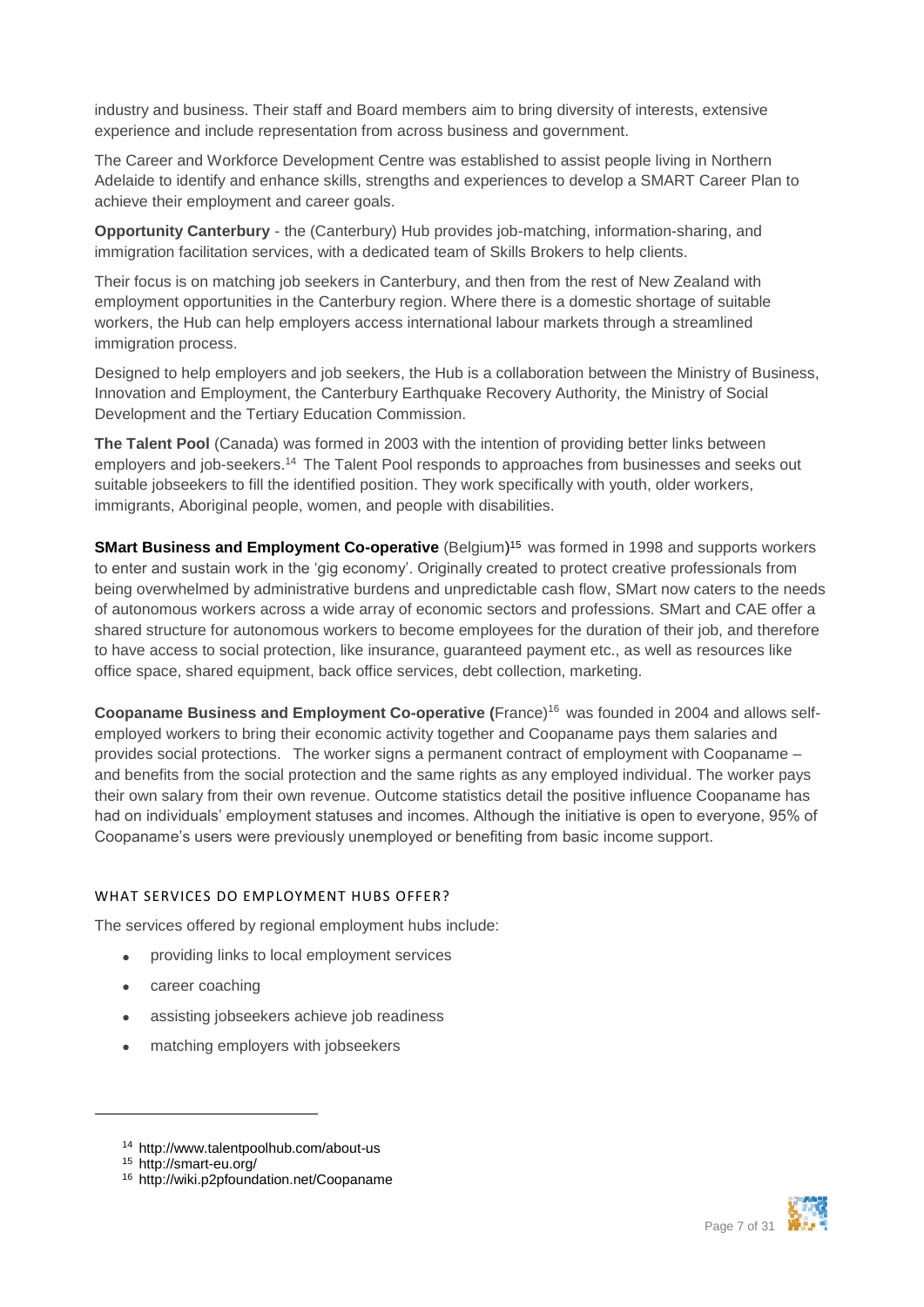industry and business. Their staff and Board members aim to bring diversity of interests, extensive experience and include representation from across business and government.

The Career and Workforce Development Centre was established to assist people living in Northern Adelaide to identify and enhance skills, strengths and experiences to develop a SMART Career Plan to achieve their employment and career goals.

**Opportunity Canterbury** - the (Canterbury) Hub provides job-matching, information-sharing, and immigration facilitation services, with a dedicated team of Skills Brokers to help clients.

Their focus is on matching job seekers in Canterbury, and then from the rest of New Zealand with employment opportunities in the Canterbury region. Where there is a domestic shortage of suitable workers, the Hub can help employers access international labour markets through a streamlined immigration process.

Designed to help employers and job seekers, the Hub is a collaboration between the Ministry of Business, Innovation and Employment, the Canterbury Earthquake Recovery Authority, the Ministry of Social Development and the Tertiary Education Commission.

**The Talent Pool** (Canada) was formed in 2003 with the intention of providing better links between employers and job-seekers.<sup>14</sup> The Talent Pool responds to approaches from businesses and seeks out suitable jobseekers to fill the identified position. They work specifically with youth, older workers, immigrants, Aboriginal people, women, and people with disabilities.

**SMart Business and Employment Co-operative** (Belgium) <sup>15</sup> was formed in 1998 and supports workers to enter and sustain work in the 'gig economy'. Originally created to protect creative professionals from being overwhelmed by administrative burdens and unpredictable cash flow, SMart now caters to the needs of autonomous workers across a wide array of economic sectors and professions. SMart and CAE offer a shared structure for autonomous workers to become employees for the duration of their job, and therefore to have access to social protection, like insurance, guaranteed payment etc., as well as resources like office space, shared equipment, back office services, debt collection, marketing.

**Coopaname Business and Employment Co-operative (**France)<sup>16</sup> was founded in 2004 and allows selfemployed workers to bring their economic activity together and Coopaname pays them salaries and provides social protections. The worker signs a permanent contract of employment with Coopaname – and benefits from the social protection and the same rights as any employed individual. The worker pays their own salary from their own revenue. Outcome statistics detail the positive influence Coopaname has had on individuals' employment statuses and incomes. Although the initiative is open to everyone, 95% of Coopaname's users were previously unemployed or benefiting from basic income support.

#### <span id="page-6-0"></span>WHAT SERVICES DO EMPLOYMENT HUBS OFFER?

The services offered by regional employment hubs include:

- providing links to local employment services
- career coaching
- assisting jobseekers achieve job readiness
- matching employers with jobseekers



<sup>14</sup> http://www.talentpoolhub.com/about-us

<sup>15</sup> http://smart-eu.org/

<sup>16</sup> http://wiki.p2pfoundation.net/Coopaname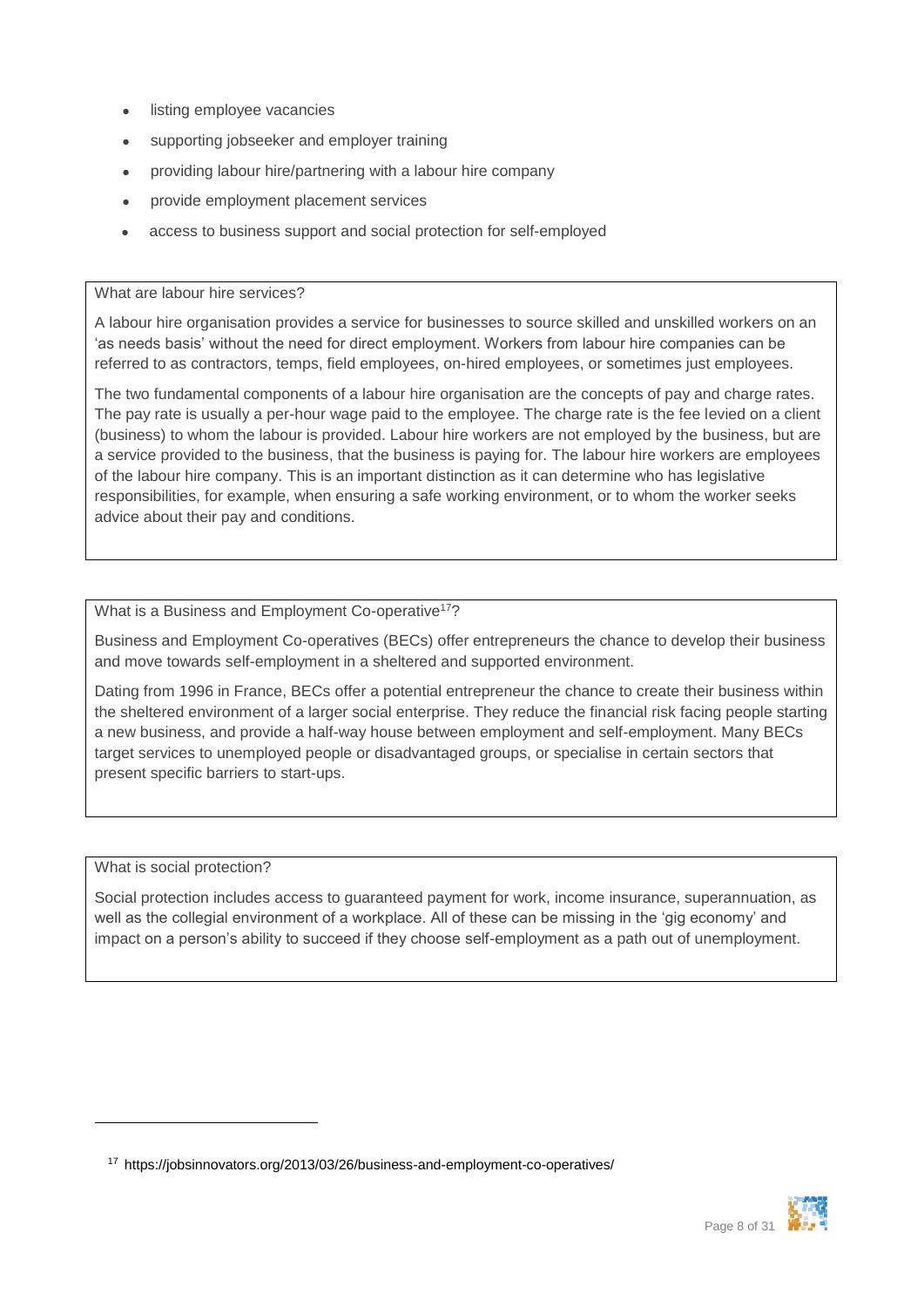- listing employee vacancies
- supporting jobseeker and employer training
- providing labour hire/partnering with a labour hire company
- provide employment placement services
- access to business support and social protection for self-employed

#### What are labour hire services?

A labour hire organisation provides a service for businesses to source skilled and unskilled workers on an 'as needs basis' without the need for direct employment. Workers from labour hire companies can be referred to as contractors, temps, field employees, on-hired employees, or sometimes just employees.

The two fundamental components of a labour hire organisation are the concepts of pay and charge rates. The pay rate is usually a per-hour wage paid to the employee. The charge rate is the fee levied on a client (business) to whom the labour is provided. Labour hire workers are not employed by the business, but are a service provided to the business, that the business is paying for. The labour hire workers are employees of the labour hire company. This is an important distinction as it can determine who has legislative responsibilities, for example, when ensuring a safe working environment, or to whom the worker seeks advice about their pay and conditions.

What is a Business and Employment Co-operative<sup>17</sup>?

[Business and Employment Co-operatives \(BECs\)](http://ec.europa.eu/employment_social/equal_consolidated/data/document/Compendium%20On%20Inclusive%20Entrepreneurship2008.pdf) offer entrepreneurs the chance to develop their business and move towards self-employment in a sheltered and supported environment.

Dating from 1996 in France, BECs offer a potential entrepreneur the chance to create their business within the sheltered environment of a larger social enterprise. They reduce the financial risk facing people starting a new business, and provide a half-way house between employment and self-employment. Many BECs target services to unemployed people or disadvantaged groups, or specialise in certain sectors that present specific barriers to start-ups.

What is social protection?

 $\overline{a}$ 

Social protection includes access to guaranteed payment for work, income insurance, superannuation, as well as the collegial environment of a workplace. All of these can be missing in the 'gig economy' and impact on a person's ability to succeed if they choose self-employment as a path out of unemployment.



<sup>17</sup> https://jobsinnovators.org/2013/03/26/business-and-employment-co-operatives/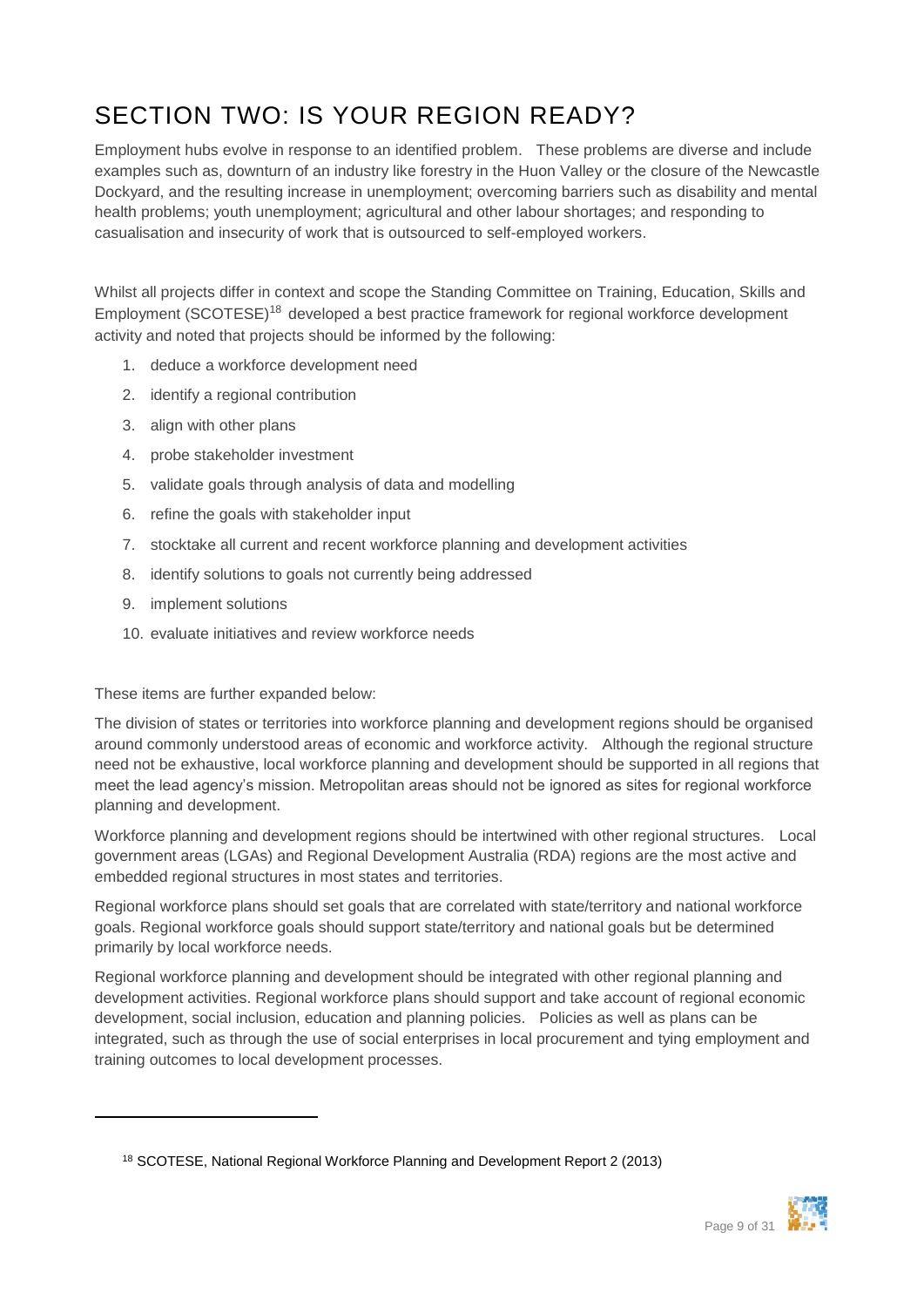## <span id="page-8-0"></span>SECTION TWO: IS YOUR REGION READY?

Employment hubs evolve in response to an identified problem. These problems are diverse and include examples such as, downturn of an industry like forestry in the Huon Valley or the closure of the Newcastle Dockyard, and the resulting increase in unemployment; overcoming barriers such as disability and mental health problems; youth unemployment; agricultural and other labour shortages; and responding to casualisation and insecurity of work that is outsourced to self-employed workers.

Whilst all projects differ in context and scope the Standing Committee on Training, Education, Skills and Employment (SCOTESE)<sup>18</sup> developed a best practice framework for regional workforce development activity and noted that projects should be informed by the following:

- 1. deduce a workforce development need
- 2. identify a regional contribution
- 3. align with other plans
- 4. probe stakeholder investment
- 5. validate goals through analysis of data and modelling
- 6. refine the goals with stakeholder input
- 7. stocktake all current and recent workforce planning and development activities
- 8. identify solutions to goals not currently being addressed
- 9. implement solutions

 $\overline{a}$ 

10. evaluate initiatives and review workforce needs

These items are further expanded below:

The division of states or territories into workforce planning and development regions should be organised around commonly understood areas of economic and workforce activity. Although the regional structure need not be exhaustive, local workforce planning and development should be supported in all regions that meet the lead agency's mission. Metropolitan areas should not be ignored as sites for regional workforce planning and development.

Workforce planning and development regions should be intertwined with other regional structures. Local government areas (LGAs) and Regional Development Australia (RDA) regions are the most active and embedded regional structures in most states and territories.

Regional workforce plans should set goals that are correlated with state/territory and national workforce goals. Regional workforce goals should support state/territory and national goals but be determined primarily by local workforce needs.

Regional workforce planning and development should be integrated with other regional planning and development activities. Regional workforce plans should support and take account of regional economic development, social inclusion, education and planning policies. Policies as well as plans can be integrated, such as through the use of social enterprises in local procurement and tying employment and training outcomes to local development processes.



<sup>18</sup> SCOTESE, National Regional Workforce Planning and Development Report 2 (2013)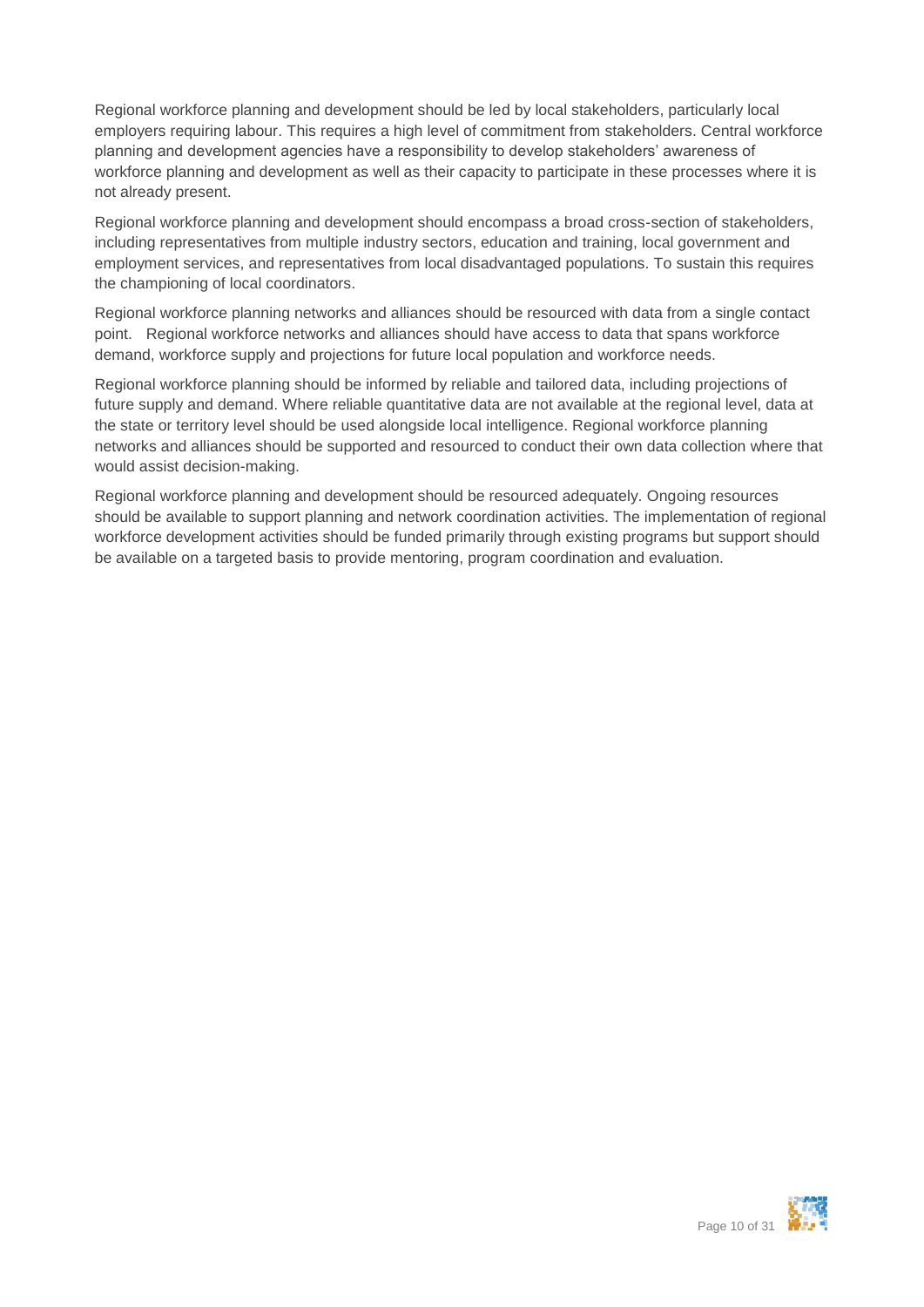Regional workforce planning and development should be led by local stakeholders, particularly local employers requiring labour. This requires a high level of commitment from stakeholders. Central workforce planning and development agencies have a responsibility to develop stakeholders' awareness of workforce planning and development as well as their capacity to participate in these processes where it is not already present.

Regional workforce planning and development should encompass a broad cross-section of stakeholders, including representatives from multiple industry sectors, education and training, local government and employment services, and representatives from local disadvantaged populations. To sustain this requires the championing of local coordinators.

Regional workforce planning networks and alliances should be resourced with data from a single contact point. Regional workforce networks and alliances should have access to data that spans workforce demand, workforce supply and projections for future local population and workforce needs.

Regional workforce planning should be informed by reliable and tailored data, including projections of future supply and demand. Where reliable quantitative data are not available at the regional level, data at the state or territory level should be used alongside local intelligence. Regional workforce planning networks and alliances should be supported and resourced to conduct their own data collection where that would assist decision-making.

Regional workforce planning and development should be resourced adequately. Ongoing resources should be available to support planning and network coordination activities. The implementation of regional workforce development activities should be funded primarily through existing programs but support should be available on a targeted basis to provide mentoring, program coordination and evaluation.

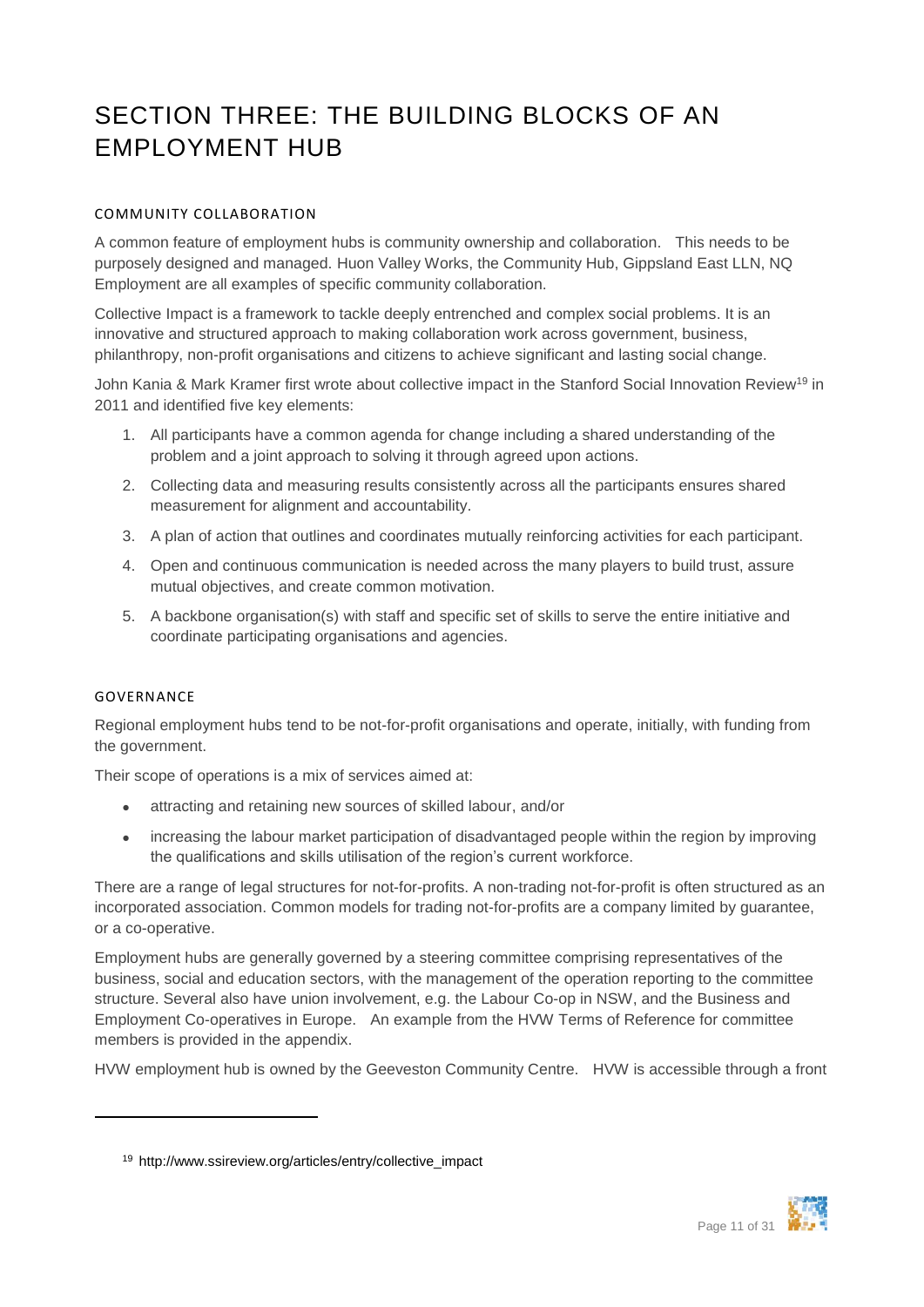## <span id="page-10-0"></span>SECTION THREE: THE BUILDING BLOCKS OF AN EMPLOYMENT HUB

#### <span id="page-10-1"></span>COMMUNITY COLLABORATION

A common feature of employment hubs is community ownership and collaboration. This needs to be purposely designed and managed. Huon Valley Works, the Community Hub, Gippsland East LLN, NQ Employment are all examples of specific community collaboration.

Collective Impact is a framework to tackle deeply entrenched and complex social problems. It is an innovative and structured approach to making collaboration work across government, business, philanthropy, non-profit organisations and citizens to achieve significant and lasting social change.

John Kania & Mark Kramer first wrote about collective impact in the Stanford Social Innovation Review<sup>19</sup> in 2011 and identified five key elements:

- 1. All participants have a common agenda for change including a shared understanding of the problem and a joint approach to solving it through agreed upon actions.
- 2. Collecting data and measuring results consistently across all the participants ensures shared measurement for alignment and accountability.
- 3. A plan of action that outlines and coordinates mutually reinforcing activities for each participant.
- 4. Open and continuous communication is needed across the many players to build trust, assure mutual objectives, and create common motivation.
- 5. A backbone organisation(s) with staff and specific set of skills to serve the entire initiative and coordinate participating organisations and agencies.

#### <span id="page-10-2"></span>GOVERNANCE

 $\overline{a}$ 

Regional employment hubs tend to be not-for-profit organisations and operate, initially, with funding from the government.

Their scope of operations is a mix of services aimed at:

- attracting and retaining new sources of skilled labour, and/or
- increasing the labour market participation of disadvantaged people within the region by improving the qualifications and skills utilisation of the region's current workforce.

There are a range of legal structures for not-for-profits. A non-trading not-for-profit is often structured as an incorporated association. Common models for trading not-for-profits are a company limited by guarantee, or a co-operative.

Employment hubs are generally governed by a steering committee comprising representatives of the business, social and education sectors, with the management of the operation reporting to the committee structure. Several also have union involvement, e.g. the Labour Co-op in NSW, and the Business and Employment Co-operatives in Europe. An example from the HVW Terms of Reference for committee members is provided in the appendix.

HVW employment hub is owned by the Geeveston Community Centre. HVW is accessible through a front



<sup>19</sup> http://www.ssireview.org/articles/entry/collective\_impact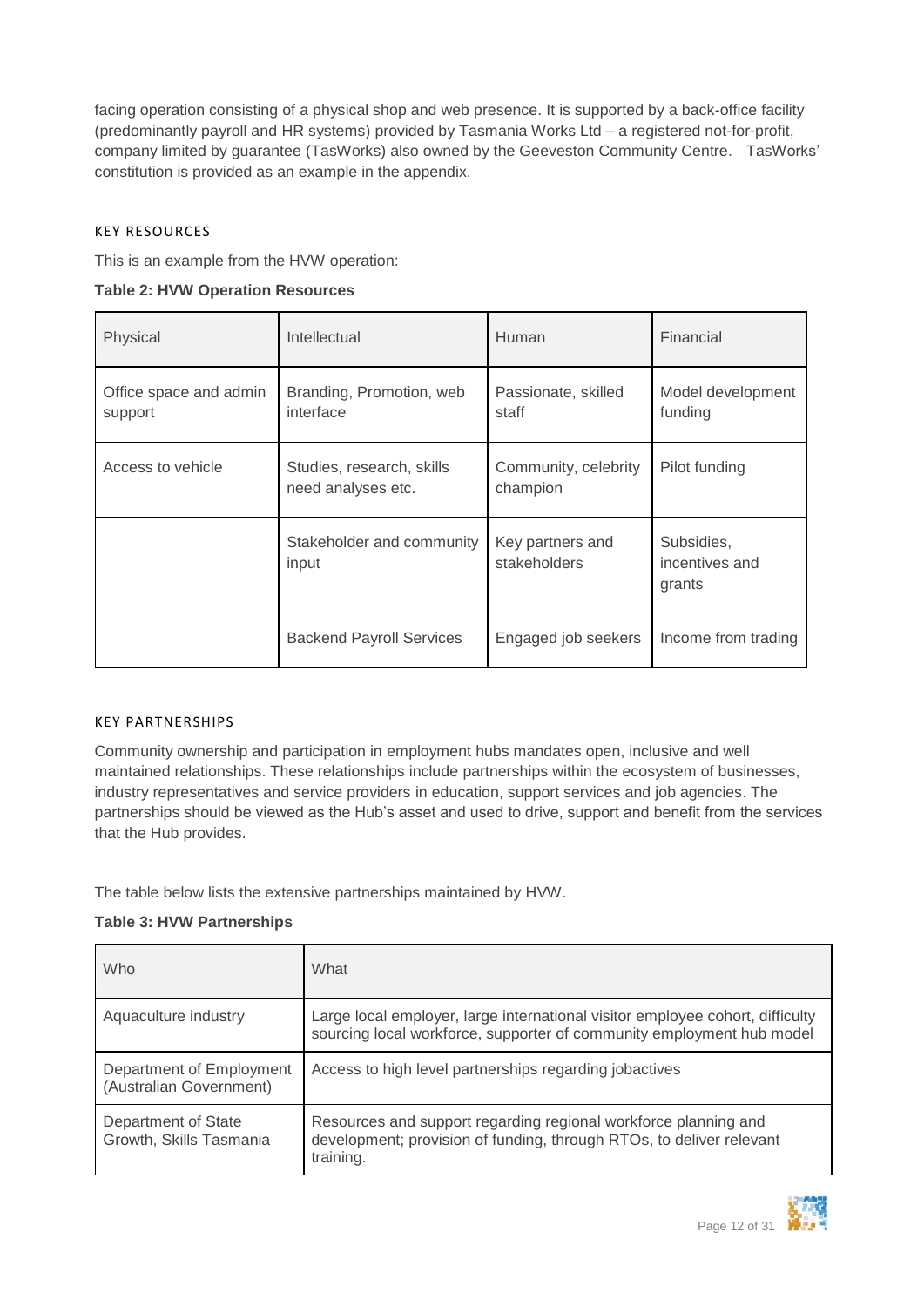facing operation consisting of a physical shop and web presence. It is supported by a back-office facility (predominantly payroll and HR systems) provided by Tasmania Works Ltd – a registered not-for-profit, company limited by guarantee (TasWorks) also owned by the Geeveston Community Centre. TasWorks' constitution is provided as an example in the appendix.

#### <span id="page-11-0"></span>KEY RESOURCES

This is an example from the HVW operation:

| Physical                          | Intellectual                                    | Human                            | Financial                              |
|-----------------------------------|-------------------------------------------------|----------------------------------|----------------------------------------|
| Office space and admin<br>support | Branding, Promotion, web<br>interface           | Passionate, skilled<br>staff     | Model development<br>funding           |
| Access to vehicle                 | Studies, research, skills<br>need analyses etc. | Community, celebrity<br>champion | Pilot funding                          |
|                                   | Stakeholder and community<br>input              | Key partners and<br>stakeholders | Subsidies,<br>incentives and<br>grants |
|                                   | <b>Backend Payroll Services</b>                 | Engaged job seekers              | Income from trading                    |

#### <span id="page-11-1"></span>KEY PARTNERSHIPS

Community ownership and participation in employment hubs mandates open, inclusive and well maintained relationships. These relationships include partnerships within the ecosystem of businesses, industry representatives and service providers in education, support services and job agencies. The partnerships should be viewed as the Hub's asset and used to drive, support and benefit from the services that the Hub provides.

The table below lists the extensive partnerships maintained by HVW.

#### **Table 3: HVW Partnerships**

| Who                                                 | What                                                                                                                                                   |
|-----------------------------------------------------|--------------------------------------------------------------------------------------------------------------------------------------------------------|
| Aquaculture industry                                | Large local employer, large international visitor employee cohort, difficulty<br>sourcing local workforce, supporter of community employment hub model |
| Department of Employment<br>(Australian Government) | Access to high level partnerships regarding jobactives                                                                                                 |
| Department of State<br>Growth, Skills Tasmania      | Resources and support regarding regional workforce planning and<br>development; provision of funding, through RTOs, to deliver relevant<br>training.   |

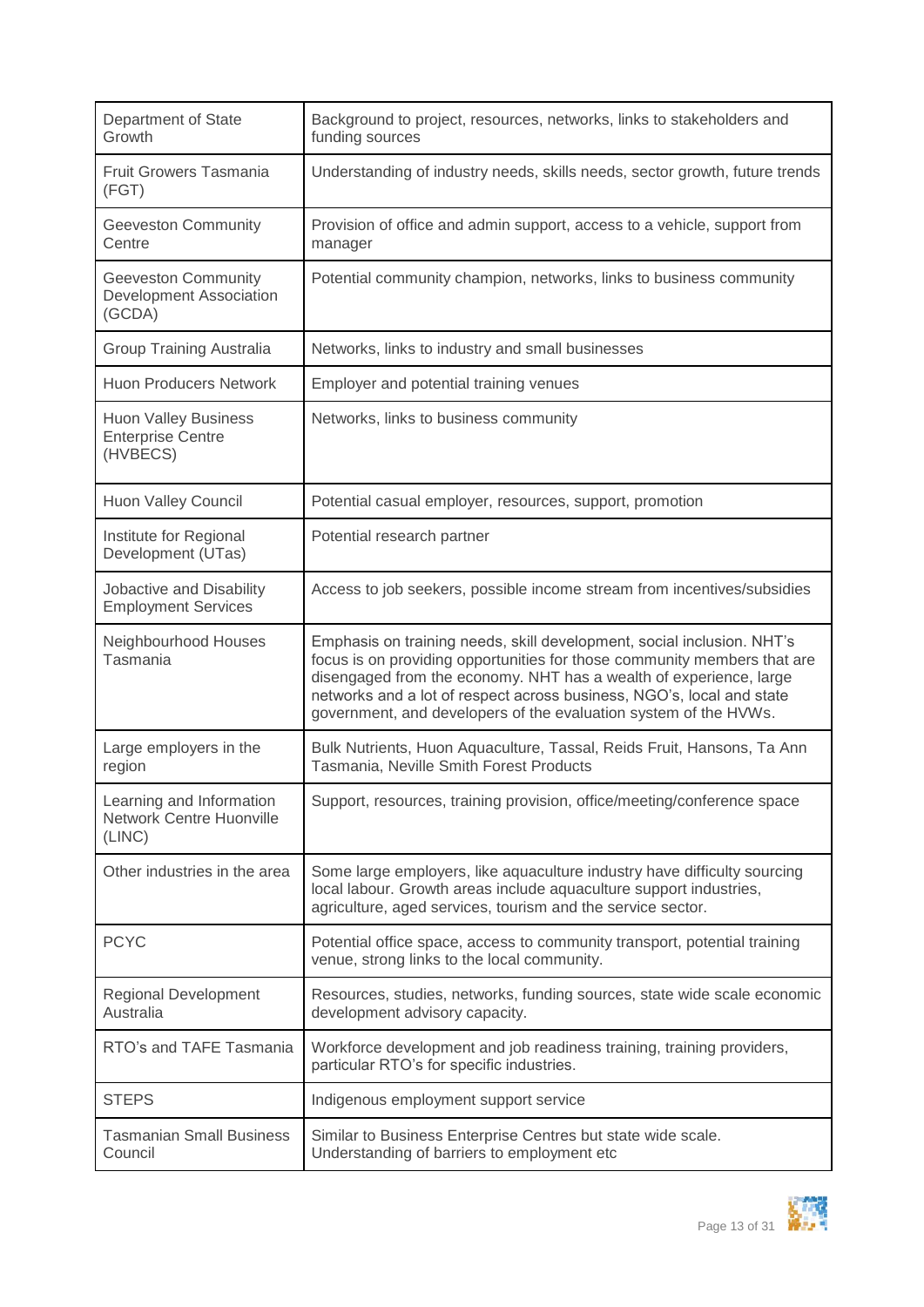| Department of State<br>Growth                                         | Background to project, resources, networks, links to stakeholders and<br>funding sources                                                                                                                                                                                                                                                                              |
|-----------------------------------------------------------------------|-----------------------------------------------------------------------------------------------------------------------------------------------------------------------------------------------------------------------------------------------------------------------------------------------------------------------------------------------------------------------|
| <b>Fruit Growers Tasmania</b><br>(FGT)                                | Understanding of industry needs, skills needs, sector growth, future trends                                                                                                                                                                                                                                                                                           |
| <b>Geeveston Community</b><br>Centre                                  | Provision of office and admin support, access to a vehicle, support from<br>manager                                                                                                                                                                                                                                                                                   |
| <b>Geeveston Community</b><br>Development Association<br>(GCDA)       | Potential community champion, networks, links to business community                                                                                                                                                                                                                                                                                                   |
| Group Training Australia                                              | Networks, links to industry and small businesses                                                                                                                                                                                                                                                                                                                      |
| <b>Huon Producers Network</b>                                         | Employer and potential training venues                                                                                                                                                                                                                                                                                                                                |
| <b>Huon Valley Business</b><br><b>Enterprise Centre</b><br>(HVBECS)   | Networks, links to business community                                                                                                                                                                                                                                                                                                                                 |
| Huon Valley Council                                                   | Potential casual employer, resources, support, promotion                                                                                                                                                                                                                                                                                                              |
| Institute for Regional<br>Development (UTas)                          | Potential research partner                                                                                                                                                                                                                                                                                                                                            |
| Jobactive and Disability<br><b>Employment Services</b>                | Access to job seekers, possible income stream from incentives/subsidies                                                                                                                                                                                                                                                                                               |
| Neighbourhood Houses<br>Tasmania                                      | Emphasis on training needs, skill development, social inclusion. NHT's<br>focus is on providing opportunities for those community members that are<br>disengaged from the economy. NHT has a wealth of experience, large<br>networks and a lot of respect across business, NGO's, local and state<br>government, and developers of the evaluation system of the HVWs. |
| Large employers in the<br>region                                      | Bulk Nutrients, Huon Aquaculture, Tassal, Reids Fruit, Hansons, Ta Ann<br>Tasmania, Neville Smith Forest Products                                                                                                                                                                                                                                                     |
| Learning and Information<br><b>Network Centre Huonville</b><br>(LINC) | Support, resources, training provision, office/meeting/conference space                                                                                                                                                                                                                                                                                               |
| Other industries in the area                                          | Some large employers, like aquaculture industry have difficulty sourcing<br>local labour. Growth areas include aquaculture support industries,<br>agriculture, aged services, tourism and the service sector.                                                                                                                                                         |
| <b>PCYC</b>                                                           | Potential office space, access to community transport, potential training<br>venue, strong links to the local community.                                                                                                                                                                                                                                              |
| <b>Regional Development</b><br>Australia                              | Resources, studies, networks, funding sources, state wide scale economic<br>development advisory capacity.                                                                                                                                                                                                                                                            |
| RTO's and TAFE Tasmania                                               | Workforce development and job readiness training, training providers,<br>particular RTO's for specific industries.                                                                                                                                                                                                                                                    |
| <b>STEPS</b>                                                          | Indigenous employment support service                                                                                                                                                                                                                                                                                                                                 |
| <b>Tasmanian Small Business</b><br>Council                            | Similar to Business Enterprise Centres but state wide scale.<br>Understanding of barriers to employment etc                                                                                                                                                                                                                                                           |

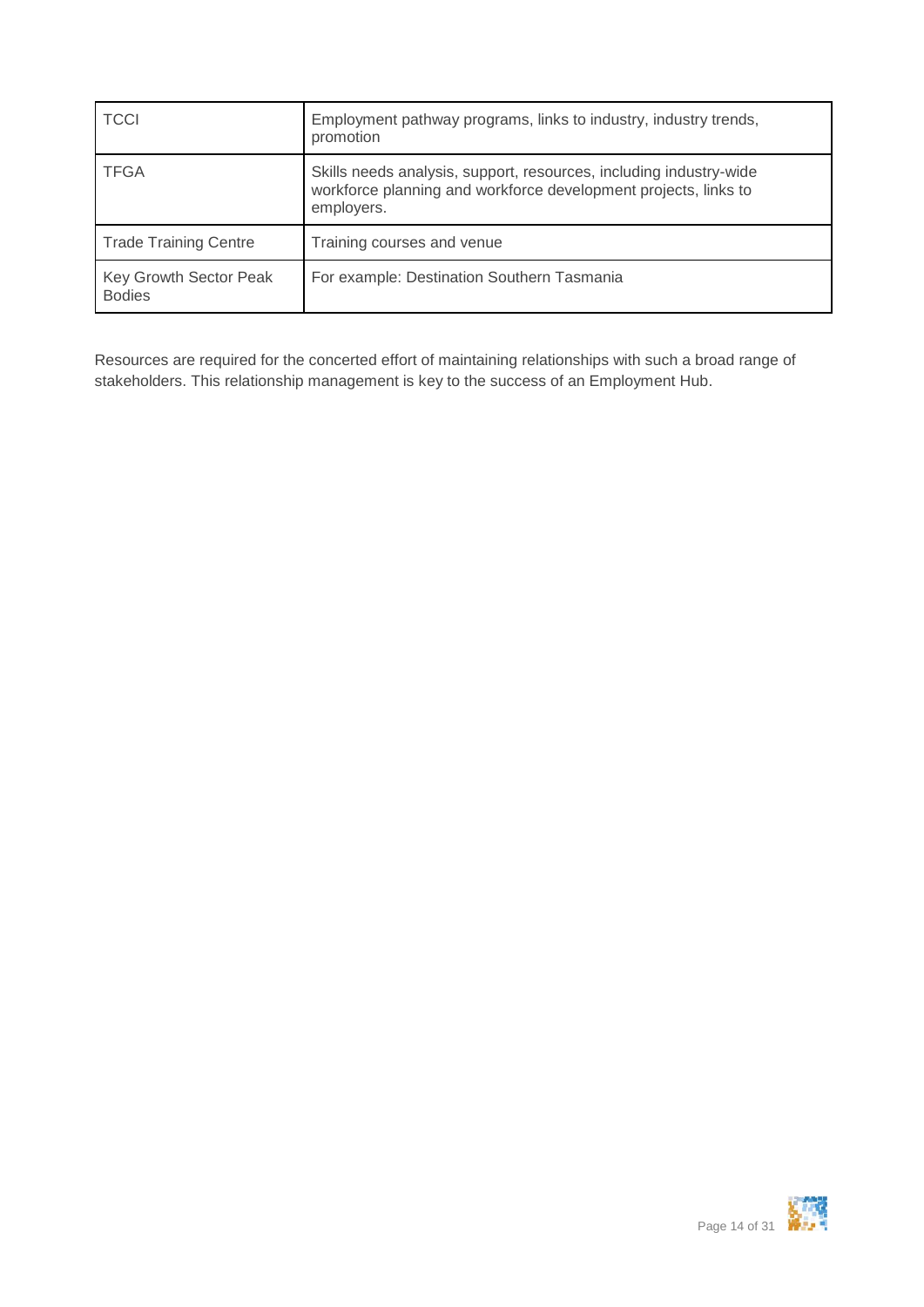| <b>TCCI</b>                             | Employment pathway programs, links to industry, industry trends,<br>promotion                                                                       |
|-----------------------------------------|-----------------------------------------------------------------------------------------------------------------------------------------------------|
| <b>TFGA</b>                             | Skills needs analysis, support, resources, including industry-wide<br>workforce planning and workforce development projects, links to<br>employers. |
| <b>Trade Training Centre</b>            | Training courses and venue                                                                                                                          |
| Key Growth Sector Peak<br><b>Bodies</b> | For example: Destination Southern Tasmania                                                                                                          |

Resources are required for the concerted effort of maintaining relationships with such a broad range of stakeholders. This relationship management is key to the success of an Employment Hub.

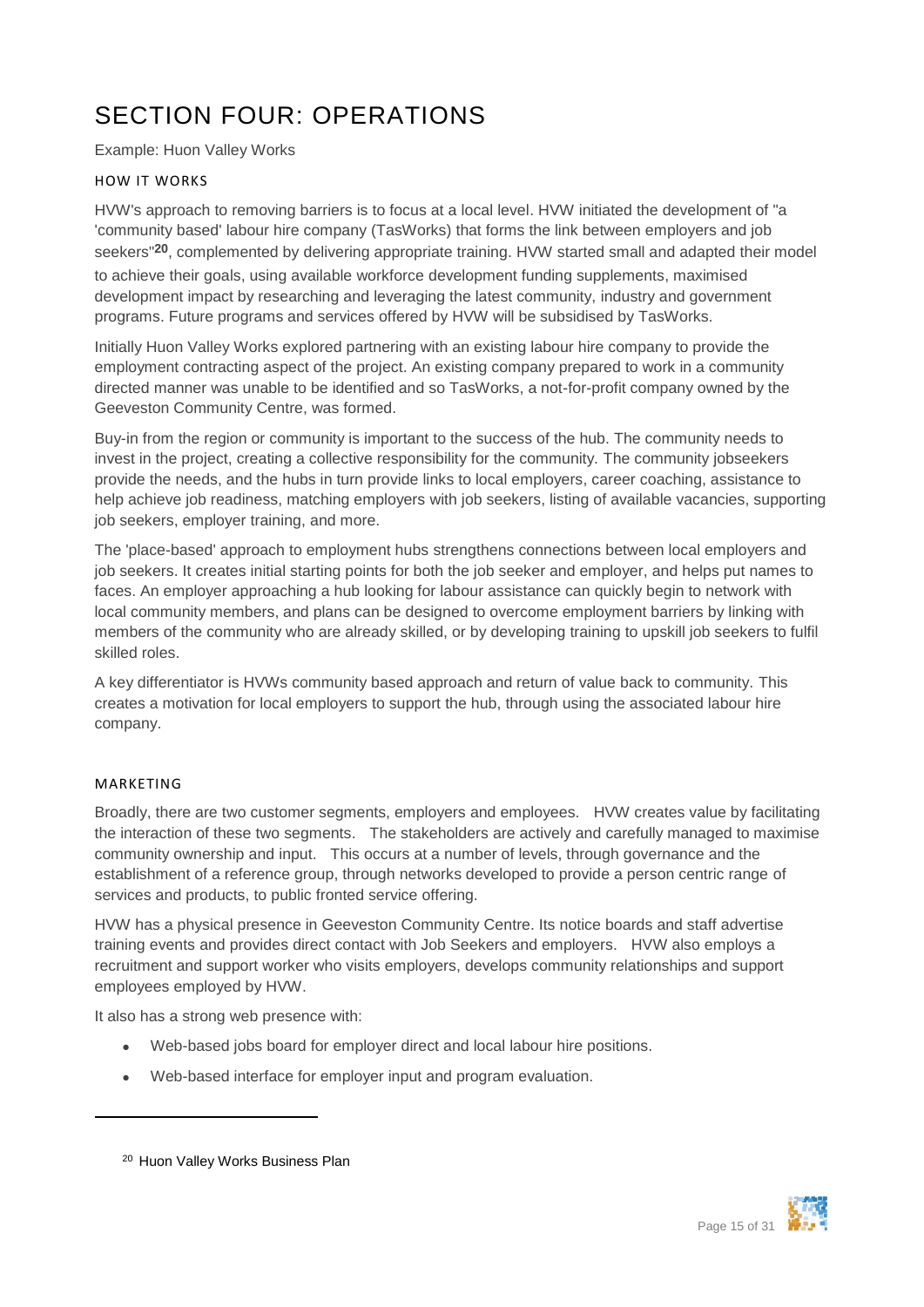## <span id="page-14-0"></span>SECTION FOUR: OPERATIONS

Example: Huon Valley Works

#### <span id="page-14-1"></span>HOW IT WORKS

HVW's approach to removing barriers is to focus at a local level. HVW initiated the development of "a 'community based' labour hire company (TasWorks) that forms the link between employers and job seekers"**20**, complemented by delivering appropriate training. HVW started small and adapted their model to achieve their goals, using available workforce development funding supplements, maximised development impact by researching and leveraging the latest community, industry and government programs. Future programs and services offered by HVW will be subsidised by TasWorks.

Initially Huon Valley Works explored partnering with an existing labour hire company to provide the employment contracting aspect of the project. An existing company prepared to work in a community directed manner was unable to be identified and so TasWorks, a not-for-profit company owned by the Geeveston Community Centre, was formed.

Buy-in from the region or community is important to the success of the hub. The community needs to invest in the project, creating a collective responsibility for the community. The community jobseekers provide the needs, and the hubs in turn provide links to local employers, career coaching, assistance to help achieve job readiness, matching employers with job seekers, listing of available vacancies, supporting job seekers, employer training, and more.

The 'place-based' approach to employment hubs strengthens connections between local employers and job seekers. It creates initial starting points for both the job seeker and employer, and helps put names to faces. An employer approaching a hub looking for labour assistance can quickly begin to network with local community members, and plans can be designed to overcome employment barriers by linking with members of the community who are already skilled, or by developing training to upskill job seekers to fulfil skilled roles.

A key differentiator is HVWs community based approach and return of value back to community. This creates a motivation for local employers to support the hub, through using the associated labour hire company.

#### <span id="page-14-2"></span>MARKETING

 $\overline{a}$ 

Broadly, there are two customer segments, employers and employees. HVW creates value by facilitating the interaction of these two segments. The stakeholders are actively and carefully managed to maximise community ownership and input. This occurs at a number of levels, through governance and the establishment of a reference group, through networks developed to provide a person centric range of services and products, to public fronted service offering.

HVW has a physical presence in Geeveston Community Centre. Its notice boards and staff advertise training events and provides direct contact with Job Seekers and employers. HVW also employs a recruitment and support worker who visits employers, develops community relationships and support employees employed by HVW.

It also has a strong web presence with:

- Web-based jobs board for employer direct and local labour hire positions.
- Web-based interface for employer input and program evaluation.



<sup>20</sup> Huon Valley Works Business Plan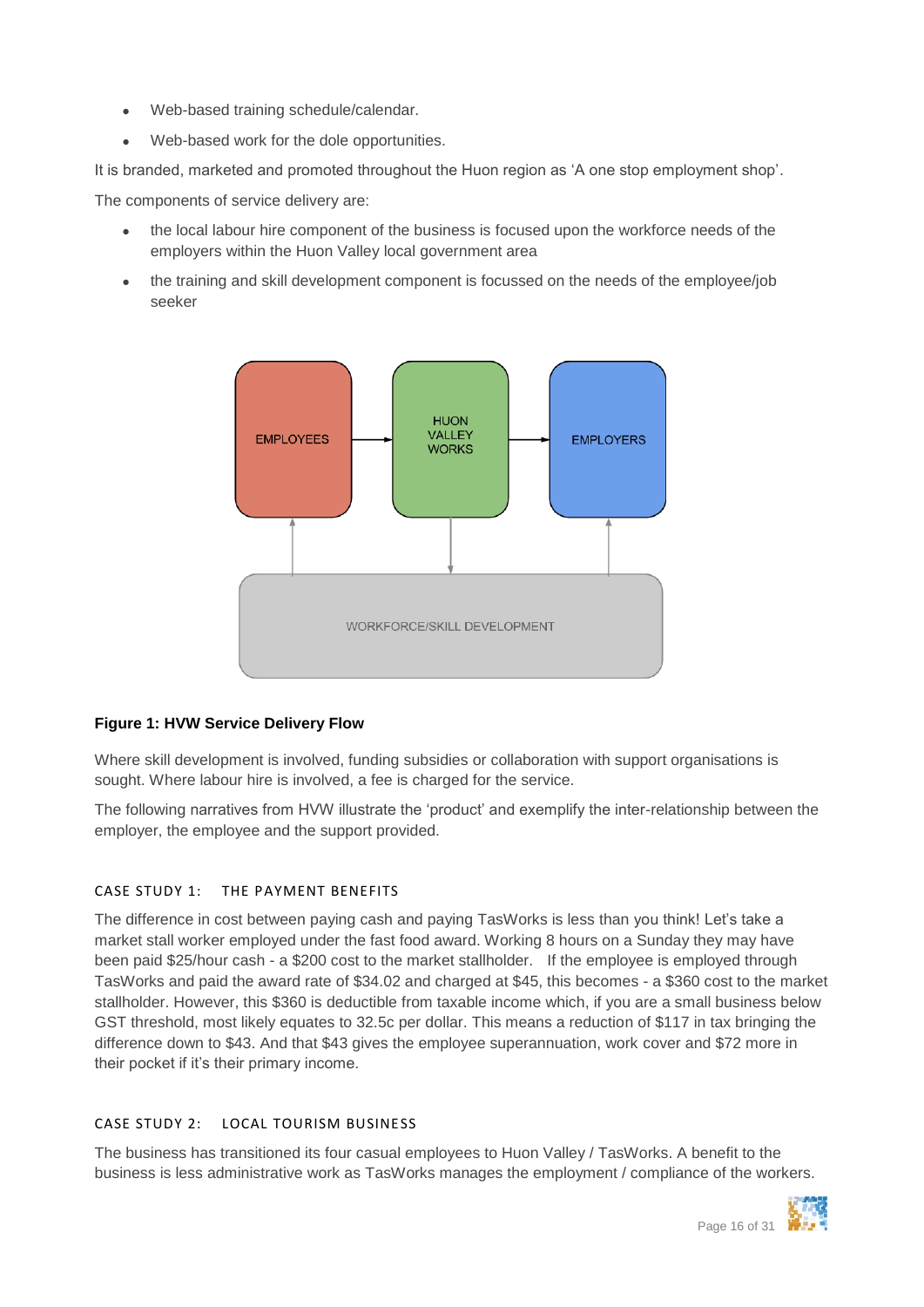- Web-based training schedule/calendar.
- Web-based work for the dole opportunities.

It is branded, marketed and promoted throughout the Huon region as 'A one stop employment shop'.

The components of service delivery are:

- the local labour hire component of the business is focused upon the workforce needs of the employers within the Huon Valley local government area
- the training and skill development component is focussed on the needs of the employee/job seeker



### <span id="page-15-2"></span>**Figure 1: HVW Service Delivery Flow**

Where skill development is involved, funding subsidies or collaboration with support organisations is sought. Where labour hire is involved, a fee is charged for the service.

The following narratives from HVW illustrate the 'product' and exemplify the inter-relationship between the employer, the employee and the support provided.

### <span id="page-15-0"></span>CASE STUDY 1: THE PAYMENT BENEFITS

The difference in cost between paying cash and paying TasWorks is less than you think! Let's take a market stall worker employed under the fast food award. Working 8 hours on a Sunday they may have been paid \$25/hour cash - a \$200 cost to the market stallholder. If the employee is employed through TasWorks and paid the award rate of \$34.02 and charged at \$45, this becomes - a \$360 cost to the market stallholder. However, this \$360 is deductible from taxable income which, if you are a small business below GST threshold, most likely equates to 32.5c per dollar. This means a reduction of \$117 in tax bringing the difference down to \$43. And that \$43 gives the employee superannuation, work cover and \$72 more in their pocket if it's their primary income.

#### <span id="page-15-1"></span>CASE STUDY 2: LOCAL TOURISM BUSINESS

The business has transitioned its four casual employees to Huon Valley / TasWorks. A benefit to the business is less administrative work as TasWorks manages the employment / compliance of the workers.

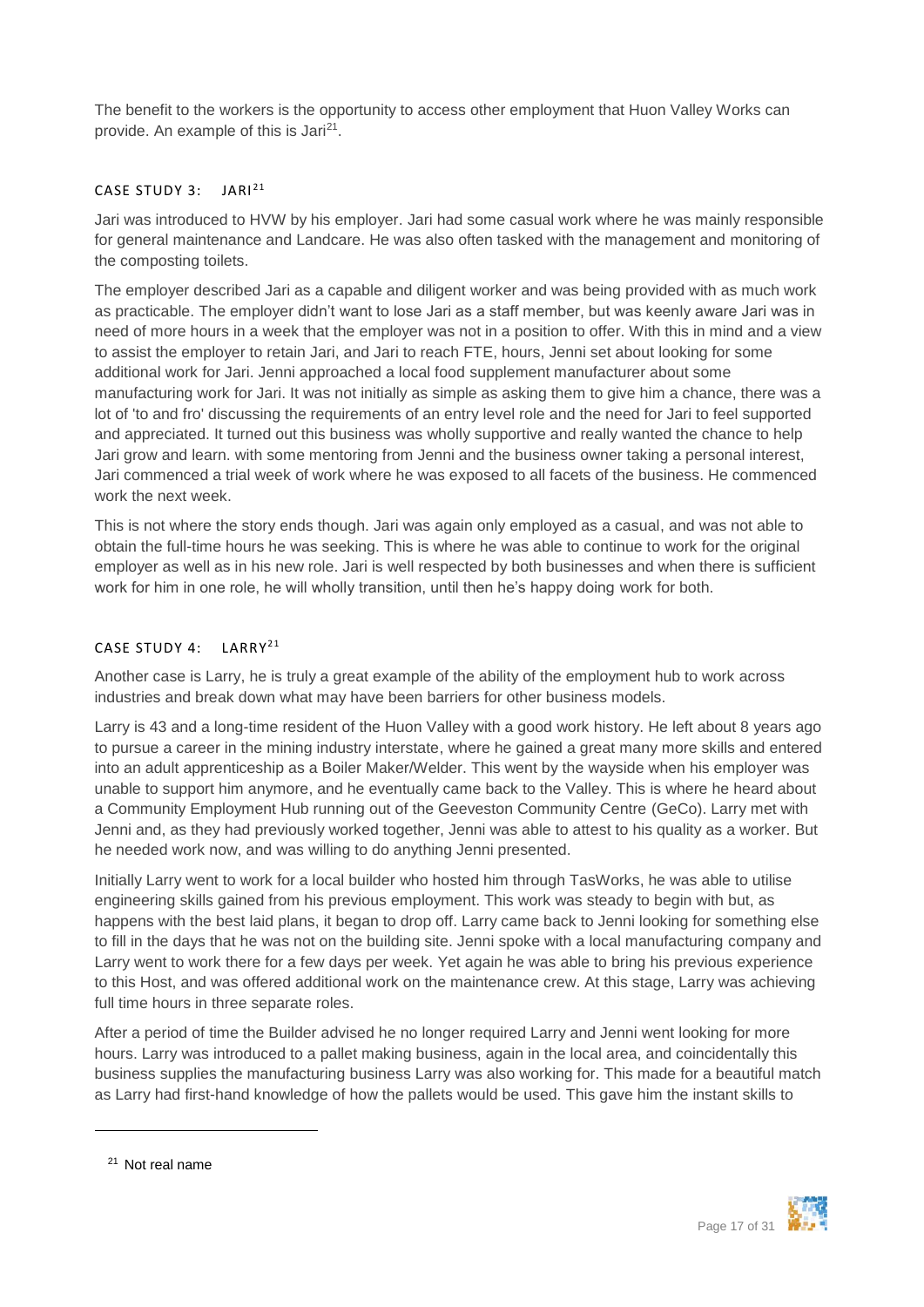The benefit to the workers is the opportunity to access other employment that Huon Valley Works can provide. An example of this is Jari<sup>21</sup>.

#### <span id="page-16-0"></span>CASE STUDY 3: JARI<sup>21</sup>

Jari was introduced to HVW by his employer. Jari had some casual work where he was mainly responsible for general maintenance and Landcare. He was also often tasked with the management and monitoring of the composting toilets.

The employer described Jari as a capable and diligent worker and was being provided with as much work as practicable. The employer didn't want to lose Jari as a staff member, but was keenly aware Jari was in need of more hours in a week that the employer was not in a position to offer. With this in mind and a view to assist the employer to retain Jari, and Jari to reach FTE, hours, Jenni set about looking for some additional work for Jari. Jenni approached a local food supplement manufacturer about some manufacturing work for Jari. It was not initially as simple as asking them to give him a chance, there was a lot of 'to and fro' discussing the requirements of an entry level role and the need for Jari to feel supported and appreciated. It turned out this business was wholly supportive and really wanted the chance to help Jari grow and learn. with some mentoring from Jenni and the business owner taking a personal interest, Jari commenced a trial week of work where he was exposed to all facets of the business. He commenced work the next week.

This is not where the story ends though. Jari was again only employed as a casual, and was not able to obtain the full-time hours he was seeking. This is where he was able to continue to work for the original employer as well as in his new role. Jari is well respected by both businesses and when there is sufficient work for him in one role, he will wholly transition, until then he's happy doing work for both.

#### <span id="page-16-1"></span>CASE STUDY 4: LARRY<sup>21</sup>

Another case is Larry, he is truly a great example of the ability of the employment hub to work across industries and break down what may have been barriers for other business models.

Larry is 43 and a long-time resident of the Huon Valley with a good work history. He left about 8 years ago to pursue a career in the mining industry interstate, where he gained a great many more skills and entered into an adult apprenticeship as a Boiler Maker/Welder. This went by the wayside when his employer was unable to support him anymore, and he eventually came back to the Valley. This is where he heard about a Community Employment Hub running out of the Geeveston Community Centre (GeCo). Larry met with Jenni and, as they had previously worked together, Jenni was able to attest to his quality as a worker. But he needed work now, and was willing to do anything Jenni presented.

Initially Larry went to work for a local builder who hosted him through TasWorks, he was able to utilise engineering skills gained from his previous employment. This work was steady to begin with but, as happens with the best laid plans, it began to drop off. Larry came back to Jenni looking for something else to fill in the days that he was not on the building site. Jenni spoke with a local manufacturing company and Larry went to work there for a few days per week. Yet again he was able to bring his previous experience to this Host, and was offered additional work on the maintenance crew. At this stage, Larry was achieving full time hours in three separate roles.

After a period of time the Builder advised he no longer required Larry and Jenni went looking for more hours. Larry was introduced to a pallet making business, again in the local area, and coincidentally this business supplies the manufacturing business Larry was also working for. This made for a beautiful match as Larry had first-hand knowledge of how the pallets would be used. This gave him the instant skills to



<sup>21</sup> Not real name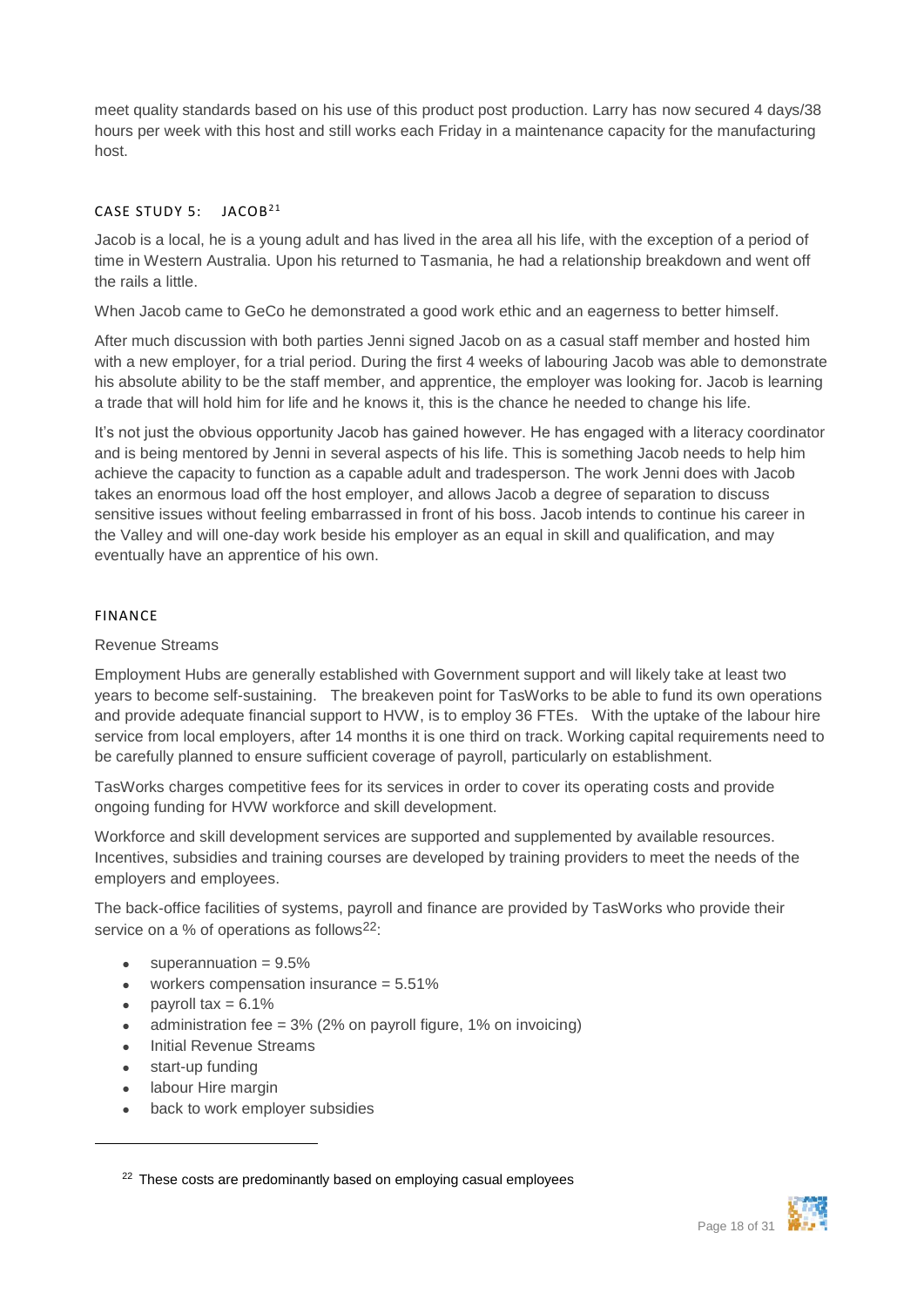meet quality standards based on his use of this product post production. Larry has now secured 4 days/38 hours per week with this host and still works each Friday in a maintenance capacity for the manufacturing host.

#### <span id="page-17-0"></span>CASE STUDY 5: JACOB<sup>21</sup>

Jacob is a local, he is a young adult and has lived in the area all his life, with the exception of a period of time in Western Australia. Upon his returned to Tasmania, he had a relationship breakdown and went off the rails a little.

When Jacob came to GeCo he demonstrated a good work ethic and an eagerness to better himself.

After much discussion with both parties Jenni signed Jacob on as a casual staff member and hosted him with a new employer, for a trial period. During the first 4 weeks of labouring Jacob was able to demonstrate his absolute ability to be the staff member, and apprentice, the employer was looking for. Jacob is learning a trade that will hold him for life and he knows it, this is the chance he needed to change his life.

It's not just the obvious opportunity Jacob has gained however. He has engaged with a literacy coordinator and is being mentored by Jenni in several aspects of his life. This is something Jacob needs to help him achieve the capacity to function as a capable adult and tradesperson. The work Jenni does with Jacob takes an enormous load off the host employer, and allows Jacob a degree of separation to discuss sensitive issues without feeling embarrassed in front of his boss. Jacob intends to continue his career in the Valley and will one-day work beside his employer as an equal in skill and qualification, and may eventually have an apprentice of his own.

#### <span id="page-17-1"></span>FINANCE

#### Revenue Streams

Employment Hubs are generally established with Government support and will likely take at least two years to become self-sustaining. The breakeven point for TasWorks to be able to fund its own operations and provide adequate financial support to HVW, is to employ 36 FTEs. With the uptake of the labour hire service from local employers, after 14 months it is one third on track. Working capital requirements need to be carefully planned to ensure sufficient coverage of payroll, particularly on establishment.

TasWorks charges competitive fees for its services in order to cover its operating costs and provide ongoing funding for HVW workforce and skill development.

Workforce and skill development services are supported and supplemented by available resources. Incentives, subsidies and training courses are developed by training providers to meet the needs of the employers and employees.

The back-office facilities of systems, payroll and finance are provided by TasWorks who provide their service on a % of operations as follows<sup>22</sup>:

- superannuation  $= 9.5\%$
- $\bullet$  workers compensation insurance = 5.51%
- payroll tax  $= 6.1\%$
- administration fee = 3% (2% on payroll figure, 1% on invoicing)
- Initial Revenue Streams
- start-up funding

- labour Hire margin
- back to work employer subsidies



<sup>&</sup>lt;sup>22</sup> These costs are predominantly based on employing casual employees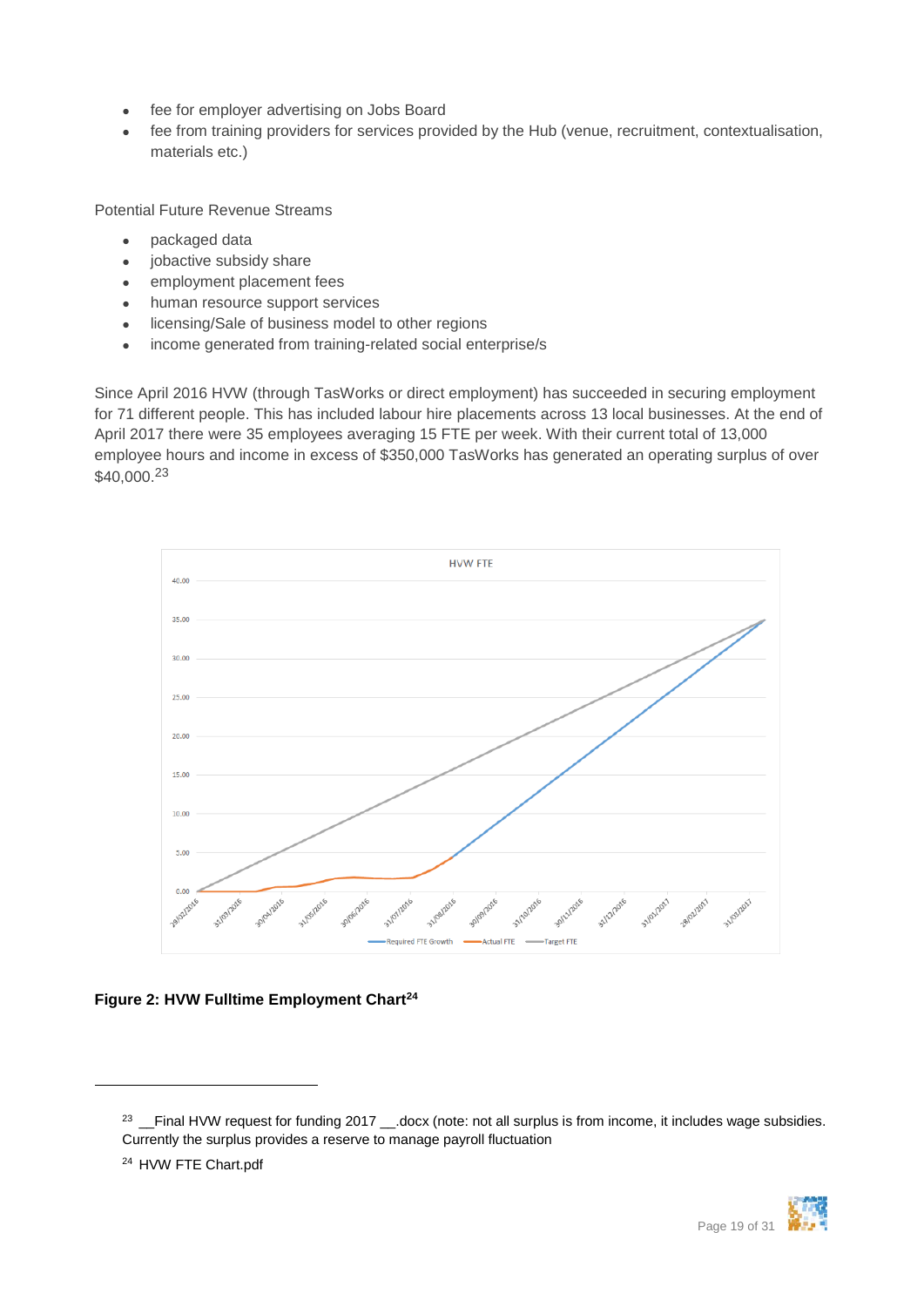- fee for employer advertising on Jobs Board
- fee from training providers for services provided by the Hub (venue, recruitment, contextualisation, materials etc.)

Potential Future Revenue Streams

- packaged data
- jobactive subsidy share
- employment placement fees
- human resource support services
- **.** licensing/Sale of business model to other regions
- income generated from training-related social enterprise/s

Since April 2016 HVW (through TasWorks or direct employment) has succeeded in securing employment for 71 different people. This has included labour hire placements across 13 local businesses. At the end of April 2017 there were 35 employees averaging 15 FTE per week. With their current total of 13,000 employee hours and income in excess of \$350,000 TasWorks has generated an operating surplus of over \$40,000.<sup>23</sup>



### <span id="page-18-0"></span>**Figure 2: HVW Fulltime Employment Chart<sup>24</sup>**



<sup>&</sup>lt;sup>23</sup> \_\_Final HVW request for funding 2017 \_\_.docx (note: not all surplus is from income, it includes wage subsidies. Currently the surplus provides a reserve to manage payroll fluctuation

<sup>24</sup> HVW FTE Chart.pdf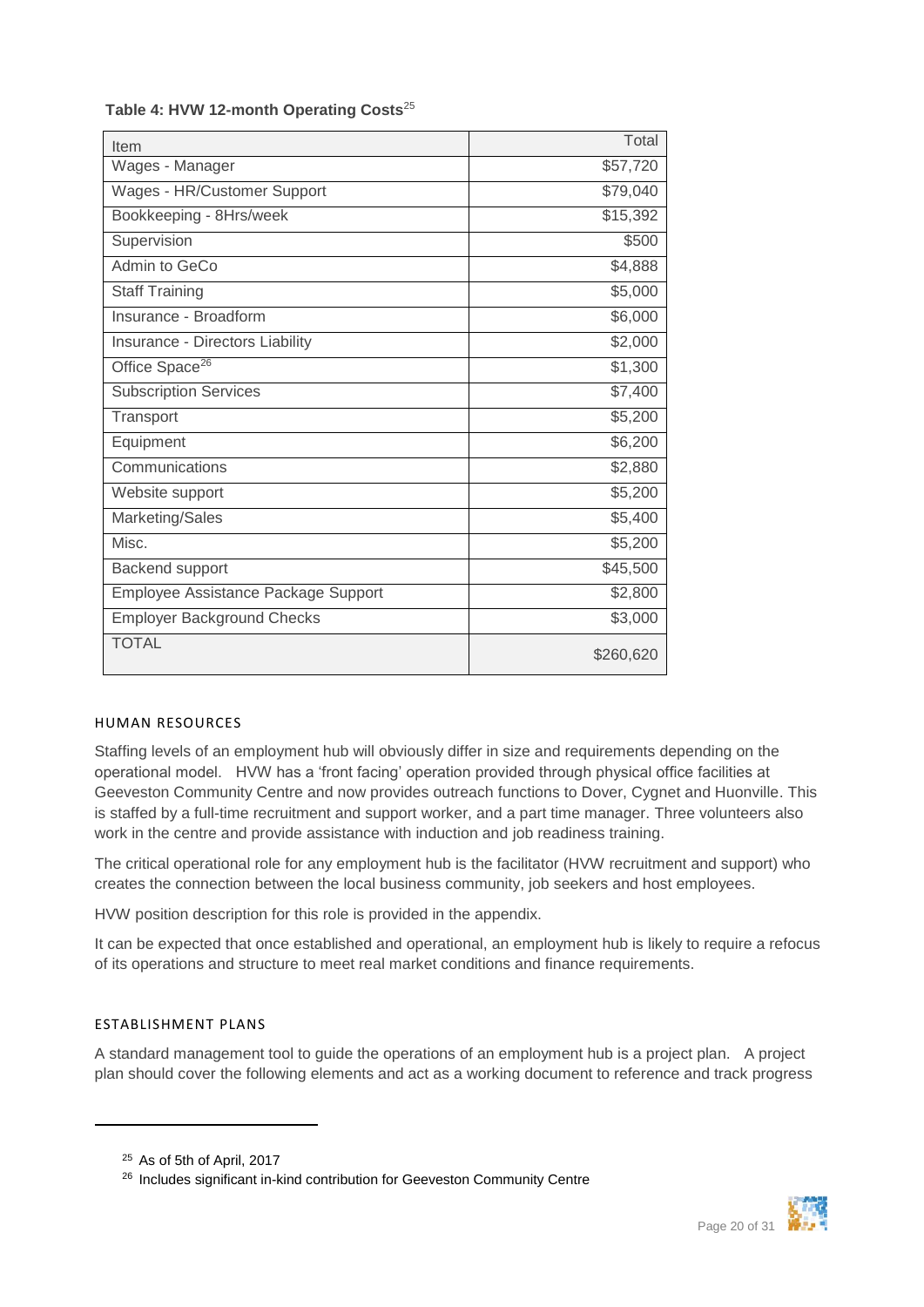| Item                                | Total     |
|-------------------------------------|-----------|
| Wages - Manager                     | \$57,720  |
| Wages - HR/Customer Support         | \$79,040  |
| Bookkeeping - 8Hrs/week             | \$15,392  |
| Supervision                         | \$500     |
| Admin to GeCo                       | \$4,888   |
| <b>Staff Training</b>               | \$5,000   |
| Insurance - Broadform               | \$6,000   |
| Insurance - Directors Liability     | \$2,000   |
| Office Space <sup>26</sup>          | \$1,300   |
| <b>Subscription Services</b>        | \$7,400   |
| Transport                           | \$5,200   |
| Equipment                           | \$6,200   |
| Communications                      | \$2,880   |
| Website support                     | \$5,200   |
| Marketing/Sales                     | \$5,400   |
| Misc.                               | \$5,200   |
| Backend support                     | \$45,500  |
| Employee Assistance Package Support | \$2,800   |
| <b>Employer Background Checks</b>   | \$3,000   |
| <b>TOTAL</b>                        | \$260,620 |

#### **Table 4: HVW 12-month Operating Costs**<sup>25</sup>

#### <span id="page-19-0"></span>HUMAN RESOURCES

Staffing levels of an employment hub will obviously differ in size and requirements depending on the operational model. HVW has a 'front facing' operation provided through physical office facilities at Geeveston Community Centre and now provides outreach functions to Dover, Cygnet and Huonville. This is staffed by a full-time recruitment and support worker, and a part time manager. Three volunteers also work in the centre and provide assistance with induction and job readiness training.

The critical operational role for any employment hub is the facilitator (HVW recruitment and support) who creates the connection between the local business community, job seekers and host employees.

HVW position description for this role is provided in the appendix.

It can be expected that once established and operational, an employment hub is likely to require a refocus of its operations and structure to meet real market conditions and finance requirements.

#### <span id="page-19-1"></span>ESTABLISHMENT PLANS

 $\overline{a}$ 

A standard management tool to guide the operations of an employment hub is a project plan. A project plan should cover the following elements and act as a working document to reference and track progress



<sup>25</sup> As of 5th of April, 2017

<sup>&</sup>lt;sup>26</sup> Includes significant in-kind contribution for Geeveston Community Centre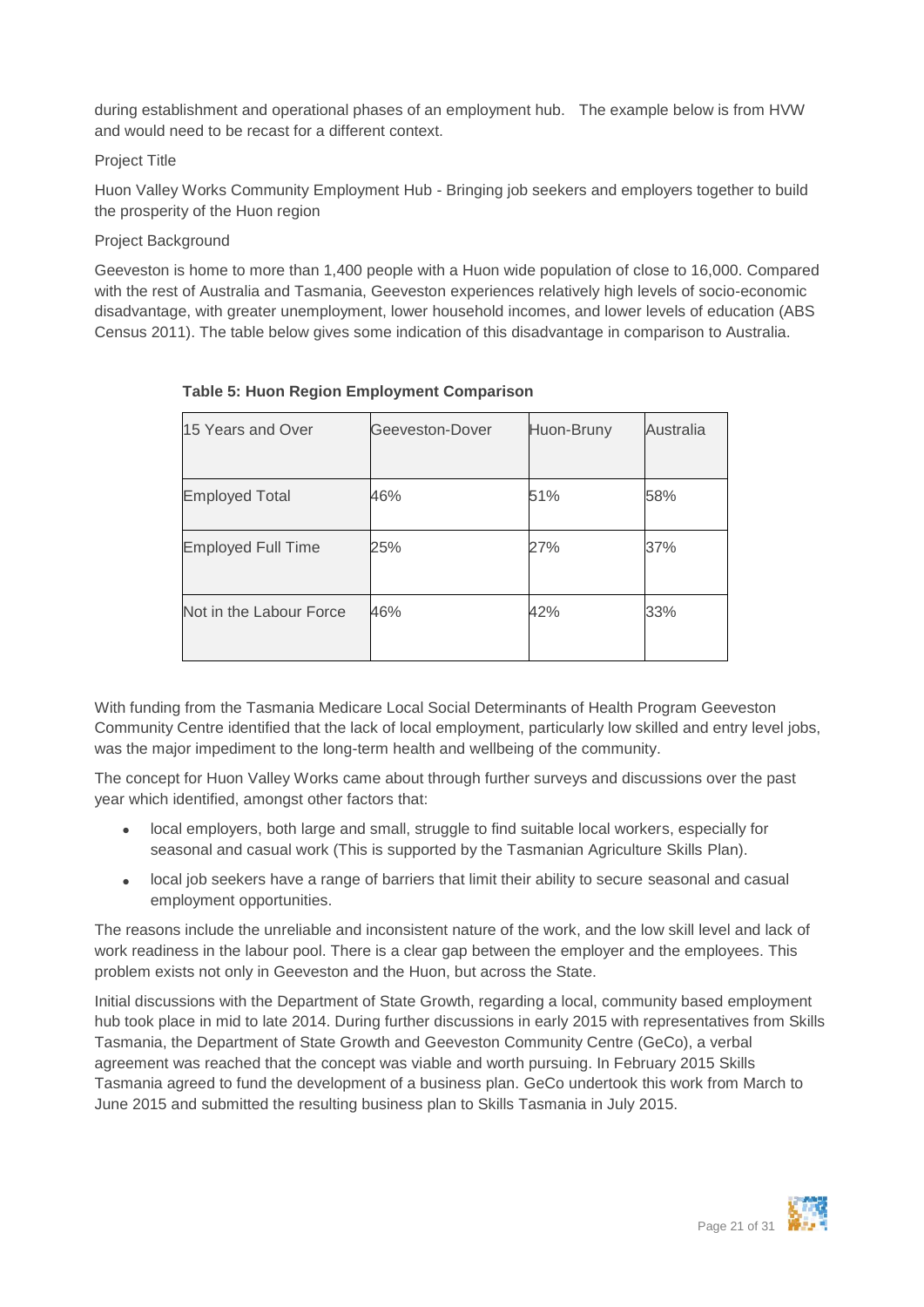during establishment and operational phases of an employment hub. The example below is from HVW and would need to be recast for a different context.

#### Project Title

Huon Valley Works Community Employment Hub - Bringing job seekers and employers together to build the prosperity of the Huon region

#### Project Background

Geeveston is home to more than 1,400 people with a Huon wide population of close to 16,000. Compared with the rest of Australia and Tasmania, Geeveston experiences relatively high levels of socio-economic disadvantage, with greater unemployment, lower household incomes, and lower levels of education (ABS Census 2011). The table below gives some indication of this disadvantage in comparison to Australia.

| 15 Years and Over         | Geeveston-Dover | Huon-Bruny | Australia |
|---------------------------|-----------------|------------|-----------|
| <b>Employed Total</b>     | 46%             | 51%        | 58%       |
| <b>Employed Full Time</b> | 25%             | 27%        | 37%       |
| Not in the Labour Force   | 46%             | 42%        | 33%       |

#### **Table 5: Huon Region Employment Comparison**

With funding from the Tasmania Medicare Local Social Determinants of Health Program Geeveston Community Centre identified that the lack of local employment, particularly low skilled and entry level jobs, was the major impediment to the long-term health and wellbeing of the community.

The concept for Huon Valley Works came about through further surveys and discussions over the past year which identified, amongst other factors that:

- local employers, both large and small, struggle to find suitable local workers, especially for seasonal and casual work (This is supported by the Tasmanian Agriculture Skills Plan).
- local job seekers have a range of barriers that limit their ability to secure seasonal and casual employment opportunities.

The reasons include the unreliable and inconsistent nature of the work, and the low skill level and lack of work readiness in the labour pool. There is a clear gap between the employer and the employees. This problem exists not only in Geeveston and the Huon, but across the State.

Initial discussions with the Department of State Growth, regarding a local, community based employment hub took place in mid to late 2014. During further discussions in early 2015 with representatives from Skills Tasmania, the Department of State Growth and Geeveston Community Centre (GeCo), a verbal agreement was reached that the concept was viable and worth pursuing. In February 2015 Skills Tasmania agreed to fund the development of a business plan. GeCo undertook this work from March to June 2015 and submitted the resulting business plan to Skills Tasmania in July 2015.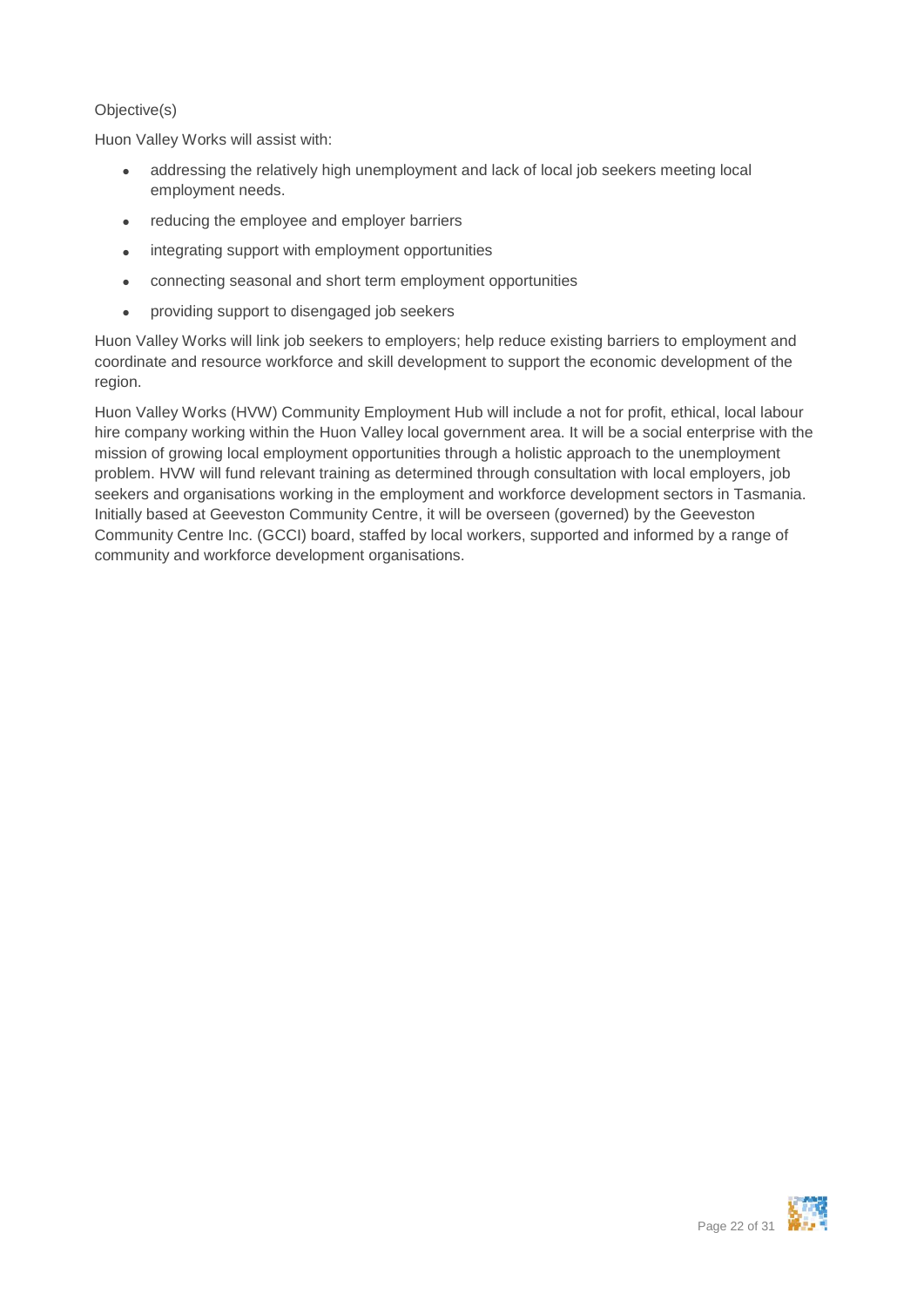#### Objective(s)

Huon Valley Works will assist with:

- addressing the relatively high unemployment and lack of local job seekers meeting local employment needs.
- reducing the employee and employer barriers
- integrating support with employment opportunities
- connecting seasonal and short term employment opportunities
- providing support to disengaged job seekers

Huon Valley Works will link job seekers to employers; help reduce existing barriers to employment and coordinate and resource workforce and skill development to support the economic development of the region.

Huon Valley Works (HVW) Community Employment Hub will include a not for profit, ethical, local labour hire company working within the Huon Valley local government area. It will be a social enterprise with the mission of growing local employment opportunities through a holistic approach to the unemployment problem. HVW will fund relevant training as determined through consultation with local employers, job seekers and organisations working in the employment and workforce development sectors in Tasmania. Initially based at Geeveston Community Centre, it will be overseen (governed) by the Geeveston Community Centre Inc. (GCCI) board, staffed by local workers, supported and informed by a range of community and workforce development organisations.

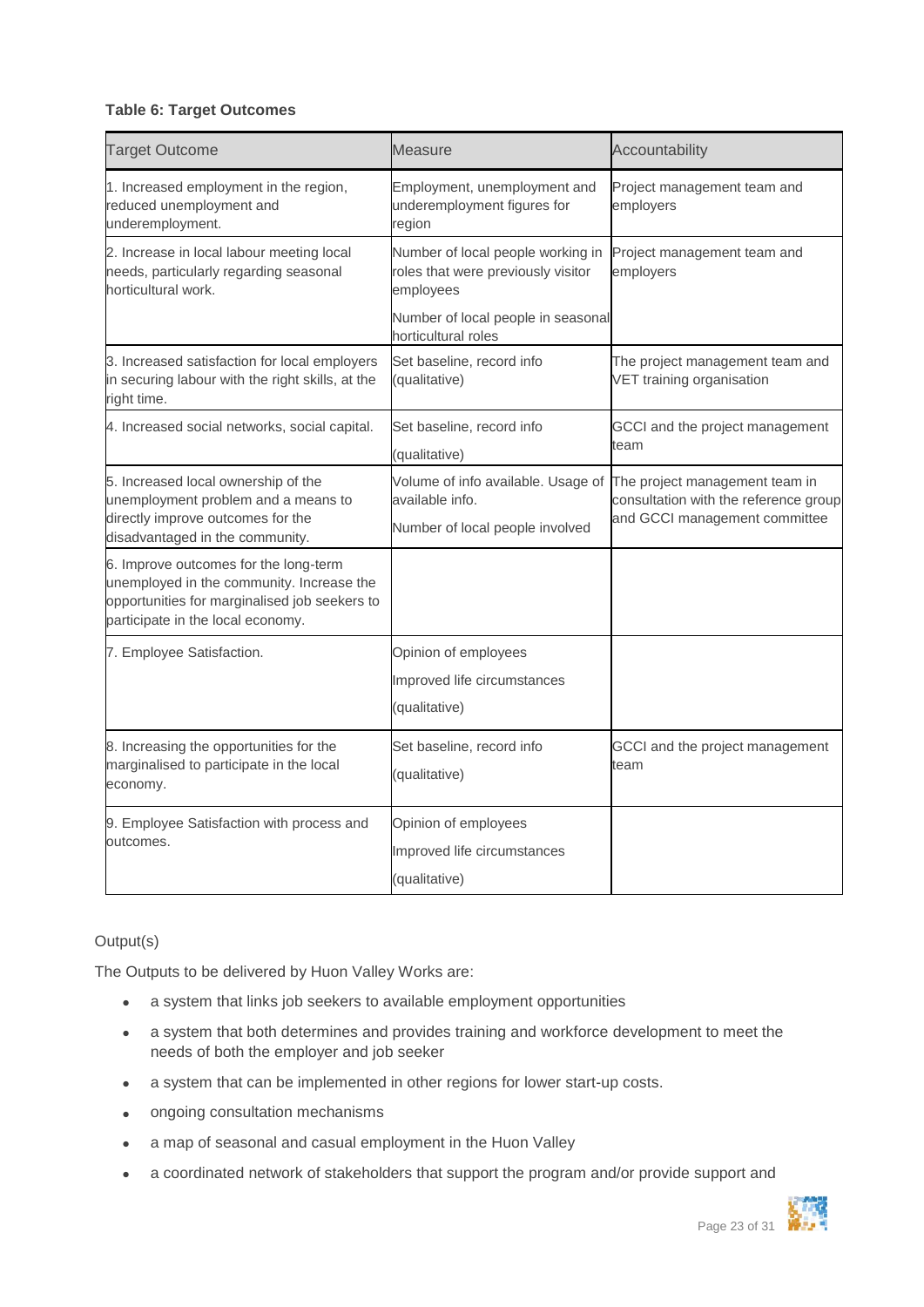#### **Table 6: Target Outcomes**

| <b>Target Outcome</b>                                                                                                                                                    | <b>Measure</b>                                                                       | Accountability                                                          |  |
|--------------------------------------------------------------------------------------------------------------------------------------------------------------------------|--------------------------------------------------------------------------------------|-------------------------------------------------------------------------|--|
| 1. Increased employment in the region,<br>reduced unemployment and<br>underemployment.                                                                                   | Employment, unemployment and<br>underemployment figures for<br>region                | Project management team and<br>employers                                |  |
| 2. Increase in local labour meeting local<br>needs, particularly regarding seasonal<br>horticultural work.                                                               | Number of local people working in<br>roles that were previously visitor<br>employees | Project management team and<br>employers                                |  |
|                                                                                                                                                                          | Number of local people in seasonal<br>horticultural roles                            |                                                                         |  |
| 3. Increased satisfaction for local employers<br>in securing labour with the right skills, at the<br>right time.                                                         | Set baseline, record info<br>(qualitative)                                           | The project management team and<br>VET training organisation            |  |
| 4. Increased social networks, social capital.                                                                                                                            | Set baseline, record info<br>(qualitative)                                           | GCCI and the project management<br>team                                 |  |
| 5. Increased local ownership of the<br>unemployment problem and a means to                                                                                               | Volume of info available. Usage of<br>available info.                                | The project management team in<br>consultation with the reference group |  |
| directly improve outcomes for the<br>disadvantaged in the community.                                                                                                     | Number of local people involved                                                      | and GCCI management committee                                           |  |
| 6. Improve outcomes for the long-term<br>unemployed in the community. Increase the<br>opportunities for marginalised job seekers to<br>participate in the local economy. |                                                                                      |                                                                         |  |
| 7. Employee Satisfaction.                                                                                                                                                | Opinion of employees                                                                 |                                                                         |  |
|                                                                                                                                                                          | Improved life circumstances<br>(qualitative)                                         |                                                                         |  |
| 8. Increasing the opportunities for the<br>marginalised to participate in the local<br>economy.                                                                          | Set baseline, record info<br>(qualitative)                                           | GCCI and the project management<br>team                                 |  |
| 9. Employee Satisfaction with process and<br>outcomes.                                                                                                                   | Opinion of employees                                                                 |                                                                         |  |
|                                                                                                                                                                          | Improved life circumstances                                                          |                                                                         |  |
|                                                                                                                                                                          | (qualitative)                                                                        |                                                                         |  |

#### Output(s)

The Outputs to be delivered by Huon Valley Works are:

- a system that links job seekers to available employment opportunities
- a system that both determines and provides training and workforce development to meet the needs of both the employer and job seeker
- a system that can be implemented in other regions for lower start-up costs.
- ongoing consultation mechanisms
- a map of seasonal and casual employment in the Huon Valley
- a coordinated network of stakeholders that support the program and/or provide support and

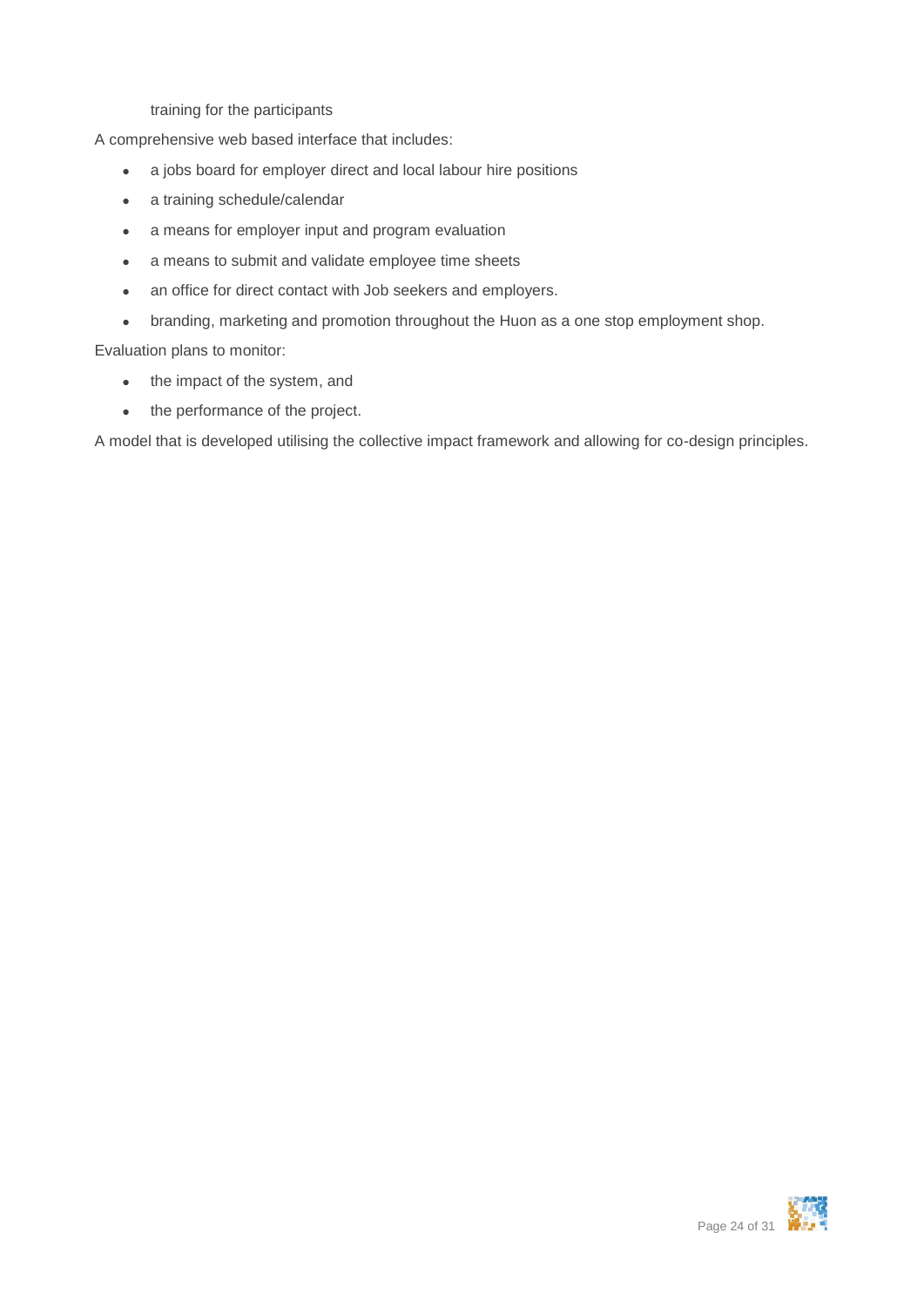training for the participants

A comprehensive web based interface that includes:

- a jobs board for employer direct and local labour hire positions
- a training schedule/calendar
- a means for employer input and program evaluation
- a means to submit and validate employee time sheets
- an office for direct contact with Job seekers and employers.
- branding, marketing and promotion throughout the Huon as a one stop employment shop.

Evaluation plans to monitor:

- the impact of the system, and
- the performance of the project.

A model that is developed utilising the collective impact framework and allowing for co-design principles.

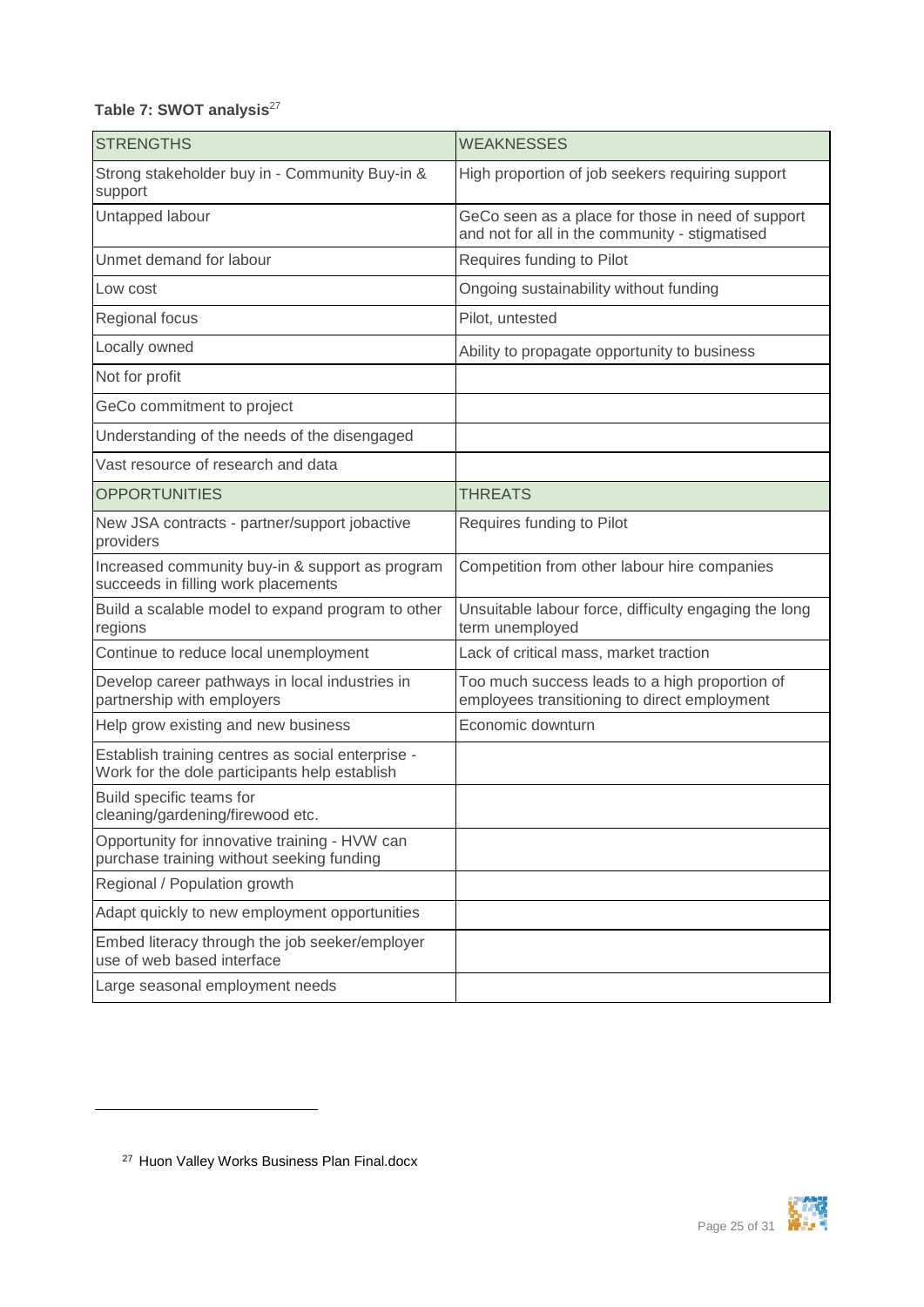### Table 7: SWOT analysis<sup>27</sup>

| <b>STRENGTHS</b>                                                                                   | <b>WEAKNESSES</b>                                                                                   |
|----------------------------------------------------------------------------------------------------|-----------------------------------------------------------------------------------------------------|
| Strong stakeholder buy in - Community Buy-in &<br>support                                          | High proportion of job seekers requiring support                                                    |
| Untapped labour                                                                                    | GeCo seen as a place for those in need of support<br>and not for all in the community - stigmatised |
| Unmet demand for labour                                                                            | Requires funding to Pilot                                                                           |
| Low cost                                                                                           | Ongoing sustainability without funding                                                              |
| Regional focus                                                                                     | Pilot, untested                                                                                     |
| Locally owned                                                                                      | Ability to propagate opportunity to business                                                        |
| Not for profit                                                                                     |                                                                                                     |
| GeCo commitment to project                                                                         |                                                                                                     |
| Understanding of the needs of the disengaged                                                       |                                                                                                     |
| Vast resource of research and data                                                                 |                                                                                                     |
| <b>OPPORTUNITIES</b>                                                                               | <b>THREATS</b>                                                                                      |
| New JSA contracts - partner/support jobactive<br>providers                                         | Requires funding to Pilot                                                                           |
| Increased community buy-in & support as program<br>succeeds in filling work placements             | Competition from other labour hire companies                                                        |
| Build a scalable model to expand program to other<br>regions                                       | Unsuitable labour force, difficulty engaging the long<br>term unemployed                            |
| Continue to reduce local unemployment                                                              | Lack of critical mass, market traction                                                              |
| Develop career pathways in local industries in<br>partnership with employers                       | Too much success leads to a high proportion of<br>employees transitioning to direct employment      |
| Help grow existing and new business                                                                | Economic downturn                                                                                   |
| Establish training centres as social enterprise -<br>Work for the dole participants help establish |                                                                                                     |
| Build specific teams for<br>cleaning/gardening/firewood etc.                                       |                                                                                                     |
| Opportunity for innovative training - HVW can<br>purchase training without seeking funding         |                                                                                                     |
| Regional / Population growth                                                                       |                                                                                                     |
| Adapt quickly to new employment opportunities                                                      |                                                                                                     |
| Embed literacy through the job seeker/employer<br>use of web based interface                       |                                                                                                     |
| Large seasonal employment needs                                                                    |                                                                                                     |



<sup>27</sup> Huon Valley Works Business Plan Final.docx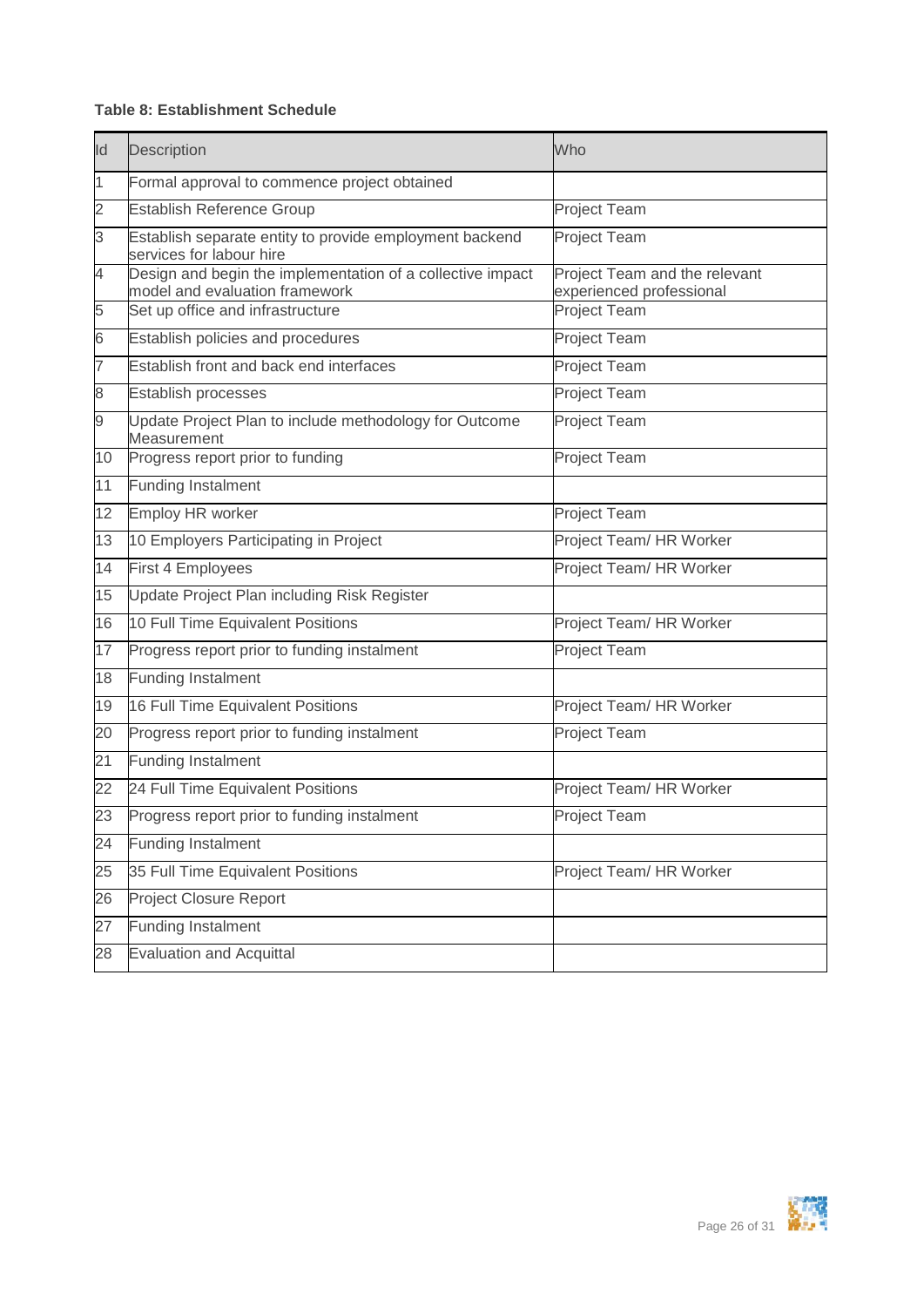#### **Table 8: Establishment Schedule**

| Id                       | Description                                                                                  | Who                                                       |
|--------------------------|----------------------------------------------------------------------------------------------|-----------------------------------------------------------|
| 1                        | Formal approval to commence project obtained                                                 |                                                           |
| $\overline{2}$           | <b>Establish Reference Group</b>                                                             | <b>Project Team</b>                                       |
| 3                        | Establish separate entity to provide employment backend<br>services for labour hire          | <b>Project Team</b>                                       |
| 4                        | Design and begin the implementation of a collective impact<br>model and evaluation framework | Project Team and the relevant<br>experienced professional |
| 5                        | Set up office and infrastructure                                                             | <b>Project Team</b>                                       |
| $\overline{6}$           | Establish policies and procedures                                                            | Project Team                                              |
| $\overline{\phantom{0}}$ | Establish front and back end interfaces                                                      | Project Team                                              |
| 8                        | Establish processes                                                                          | Project Team                                              |
| 9                        | Update Project Plan to include methodology for Outcome<br>Measurement                        | <b>Project Team</b>                                       |
| 10                       | Progress report prior to funding                                                             | Project Team                                              |
| 11                       | <b>Funding Instalment</b>                                                                    |                                                           |
| 12                       | <b>Employ HR worker</b>                                                                      | Project Team                                              |
| 13                       | 10 Employers Participating in Project                                                        | Project Team/ HR Worker                                   |
| 14                       | First 4 Employees                                                                            | Project Team/ HR Worker                                   |
| 15                       | Update Project Plan including Risk Register                                                  |                                                           |
| 16                       | 10 Full Time Equivalent Positions                                                            | Project Team/ HR Worker                                   |
| 17                       | Progress report prior to funding instalment                                                  | Project Team                                              |
| 18                       | <b>Funding Instalment</b>                                                                    |                                                           |
| 19                       | 16 Full Time Equivalent Positions                                                            | Project Team/ HR Worker                                   |
| 20                       | Progress report prior to funding instalment                                                  | <b>Project Team</b>                                       |
| 21                       | <b>Funding Instalment</b>                                                                    |                                                           |
| 22                       | 24 Full Time Equivalent Positions                                                            | Project Team/ HR Worker                                   |
| 23                       | Progress report prior to funding instalment                                                  | <b>Project Team</b>                                       |
| $\overline{24}$          | <b>Funding Instalment</b>                                                                    |                                                           |
| 25                       | 35 Full Time Equivalent Positions                                                            | Project Team/ HR Worker                                   |
| 26                       | <b>Project Closure Report</b>                                                                |                                                           |
| 27                       | <b>Funding Instalment</b>                                                                    |                                                           |
| 28                       | <b>Evaluation and Acquittal</b>                                                              |                                                           |

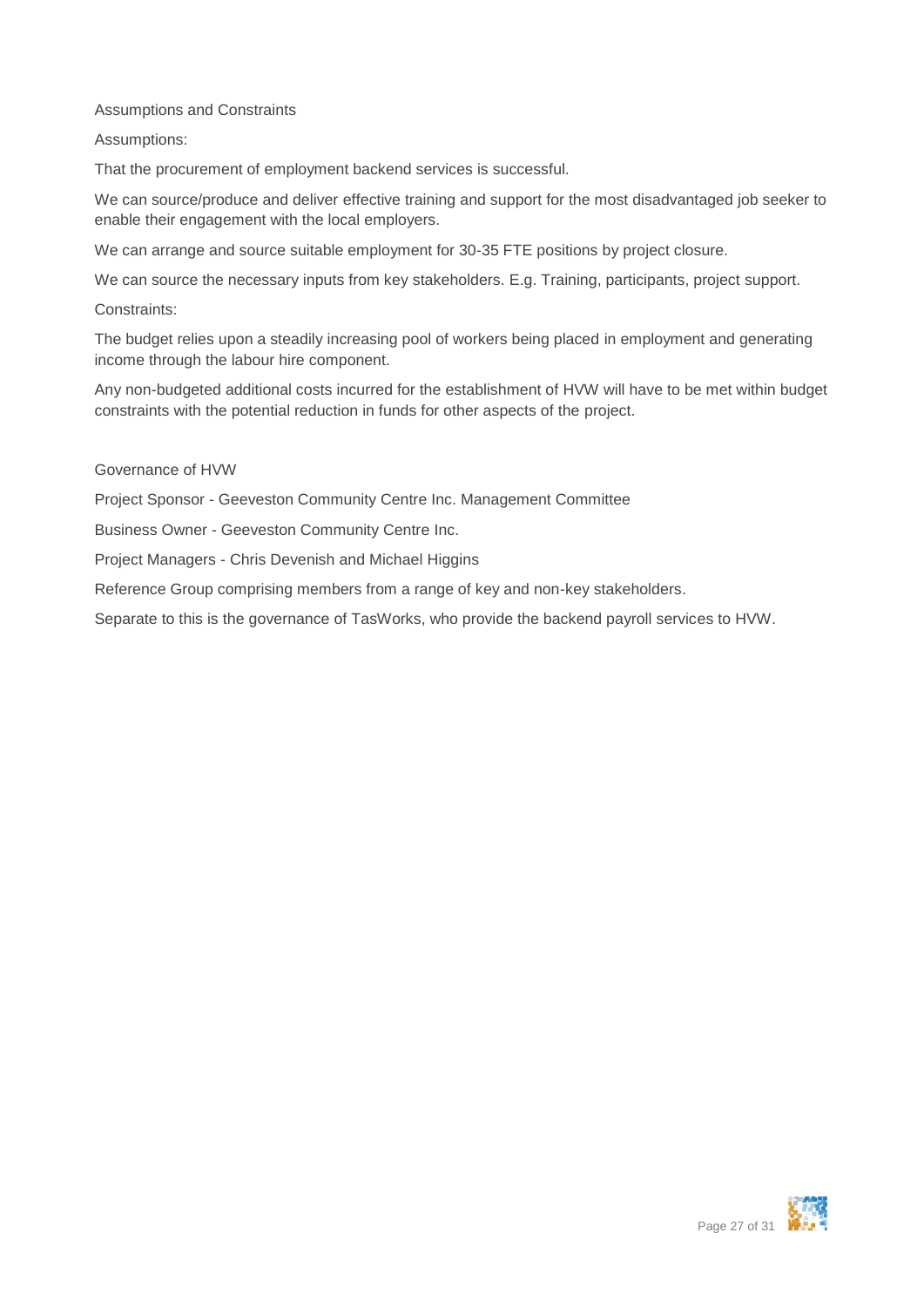Assumptions and Constraints

Assumptions:

That the procurement of employment backend services is successful.

We can source/produce and deliver effective training and support for the most disadvantaged job seeker to enable their engagement with the local employers.

We can arrange and source suitable employment for 30-35 FTE positions by project closure.

We can source the necessary inputs from key stakeholders. E.g. Training, participants, project support.

Constraints:

The budget relies upon a steadily increasing pool of workers being placed in employment and generating income through the labour hire component.

Any non-budgeted additional costs incurred for the establishment of HVW will have to be met within budget constraints with the potential reduction in funds for other aspects of the project.

#### Governance of HVW

Project Sponsor - Geeveston Community Centre Inc. Management Committee

Business Owner - Geeveston Community Centre Inc.

Project Managers - Chris Devenish and Michael Higgins

Reference Group comprising members from a range of key and non-key stakeholders.

Separate to this is the governance of TasWorks, who provide the backend payroll services to HVW.

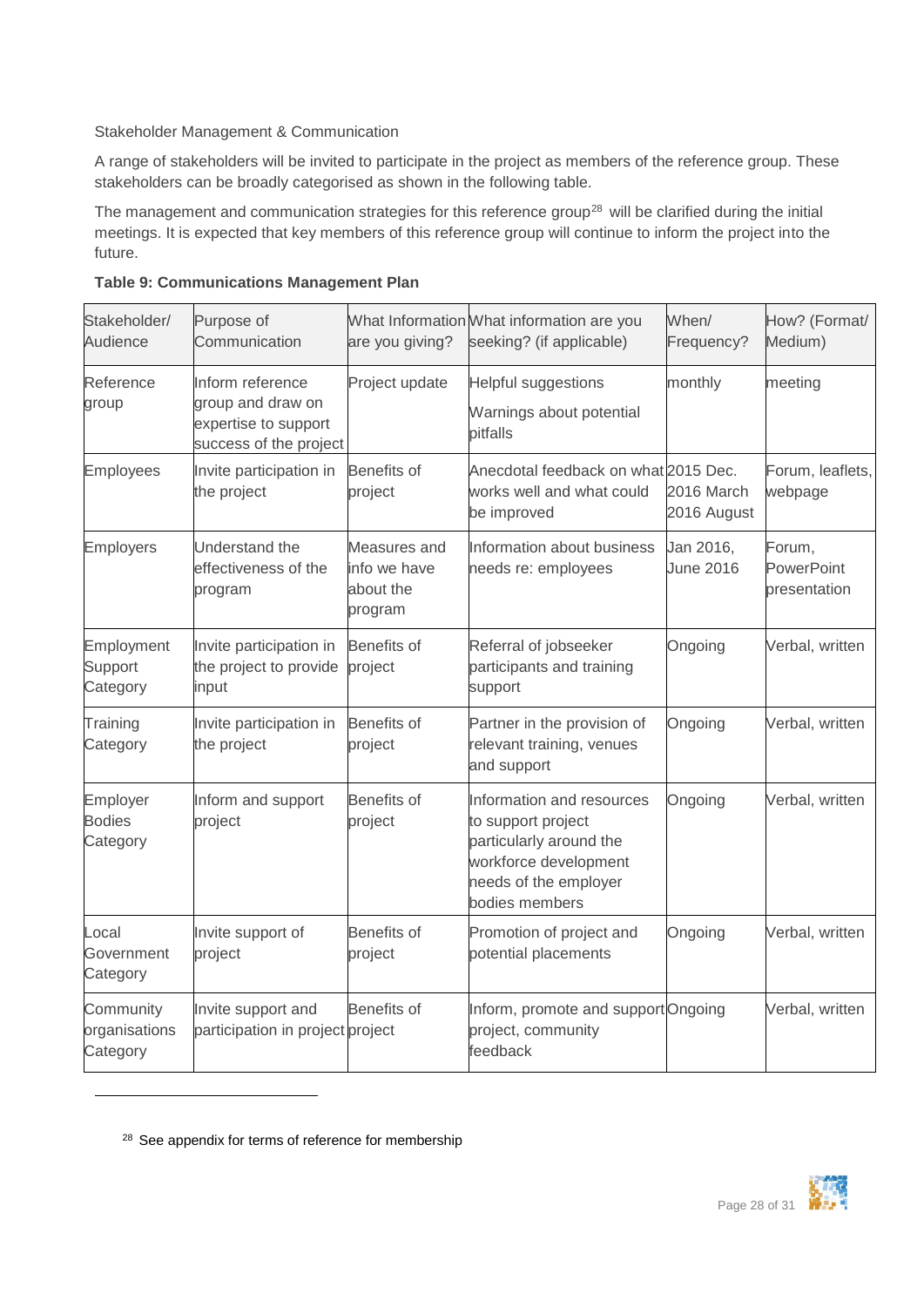#### Stakeholder Management & Communication

A range of stakeholders will be invited to participate in the project as members of the reference group. These stakeholders can be broadly categorised as shown in the following table.

The management and communication strategies for this reference group<sup>28</sup> will be clarified during the initial meetings. It is expected that key members of this reference group will continue to inform the project into the future.

| Stakeholder/<br>Audience               | Purpose of<br>Communication                                                             | are you giving?                                      | What Information What information are you<br>seeking? (if applicable)                                                                          | When/<br>Frequency?           | How? (Format/<br>Medium)             |
|----------------------------------------|-----------------------------------------------------------------------------------------|------------------------------------------------------|------------------------------------------------------------------------------------------------------------------------------------------------|-------------------------------|--------------------------------------|
| Reference<br>group                     | Inform reference<br>group and draw on<br>expertise to support<br>success of the project | Project update                                       | <b>Helpful suggestions</b><br>Warnings about potential<br>pitfalls                                                                             | monthly                       | meeting                              |
| Employees                              | Invite participation in<br>the project                                                  | <b>Benefits of</b><br>project                        | Anecdotal feedback on what 2015 Dec.<br>works well and what could<br>be improved                                                               | 2016 March<br>2016 August     | Forum, leaflets,<br>webpage          |
| Employers                              | Understand the<br>effectiveness of the<br>program                                       | Measures and<br>info we have<br>about the<br>program | Information about business<br>needs re: employees                                                                                              | Jan 2016,<br><b>June 2016</b> | Forum,<br>PowerPoint<br>presentation |
| Employment<br>Support<br>Category      | Invite participation in<br>the project to provide<br>input                              | <b>Benefits of</b><br>project                        | Referral of jobseeker<br>participants and training<br>support                                                                                  | Ongoing                       | Verbal, written                      |
| Training<br>Category                   | Invite participation in<br>the project                                                  | <b>Benefits of</b><br>project                        | Partner in the provision of<br>relevant training, venues<br>and support                                                                        | Ongoing                       | Verbal, written                      |
| Employer<br><b>Bodies</b><br>Category  | Inform and support<br>project                                                           | <b>Benefits of</b><br>project                        | Information and resources<br>to support project<br>particularly around the<br>workforce development<br>needs of the employer<br>bodies members | Ongoing                       | Verbal, written                      |
| Local<br>Government<br>Category        | Invite support of<br>project                                                            | Benefits of<br>project                               | Promotion of project and<br>potential placements                                                                                               | Ongoing                       | Verbal, written                      |
| Community<br>organisations<br>Category | Invite support and<br>participation in project project                                  | <b>Benefits of</b>                                   | Inform, promote and support Ongoing<br>project, community<br>feedback                                                                          |                               | Verbal, written                      |

|  | <b>Table 9: Communications Management Plan</b> |  |  |
|--|------------------------------------------------|--|--|
|--|------------------------------------------------|--|--|



<sup>&</sup>lt;sup>28</sup> See appendix for terms of reference for membership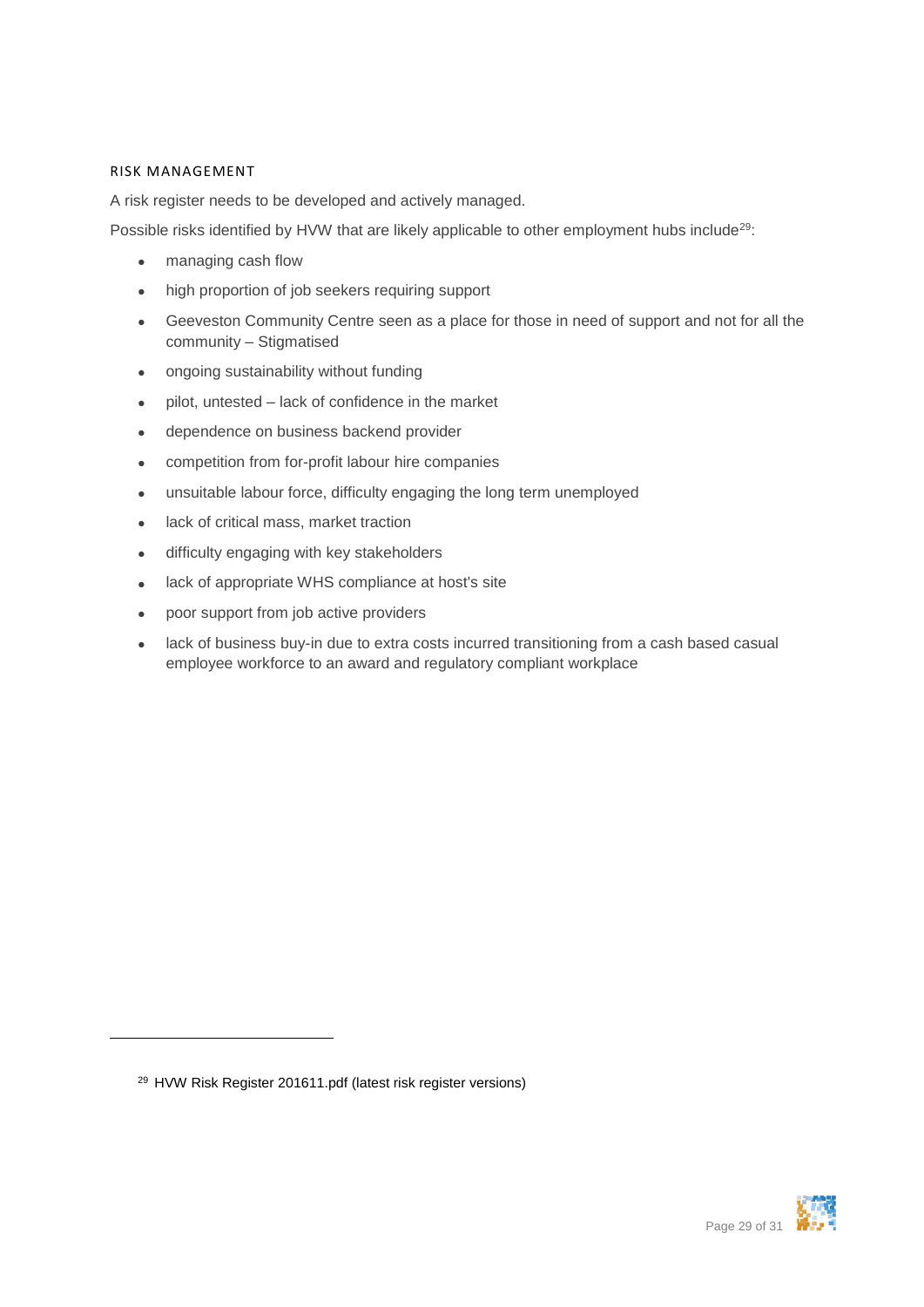#### <span id="page-28-0"></span>RISK MANAGEMENT

A risk register needs to be developed and actively managed.

Possible risks identified by HVW that are likely applicable to other employment hubs include<sup>29</sup>:

- managing cash flow
- high proportion of job seekers requiring support
- Geeveston Community Centre seen as a place for those in need of support and not for all the community – Stigmatised
- ongoing sustainability without funding
- pilot, untested lack of confidence in the market
- dependence on business backend provider
- competition from for-profit labour hire companies
- unsuitable labour force, difficulty engaging the long term unemployed
- lack of critical mass, market traction
- difficulty engaging with key stakeholders
- lack of appropriate WHS compliance at host's site
- poor support from job active providers
- lack of business buy-in due to extra costs incurred transitioning from a cash based casual employee workforce to an award and regulatory compliant workplace

1



<sup>29</sup> HVW Risk Register 201611.pdf (latest risk register versions)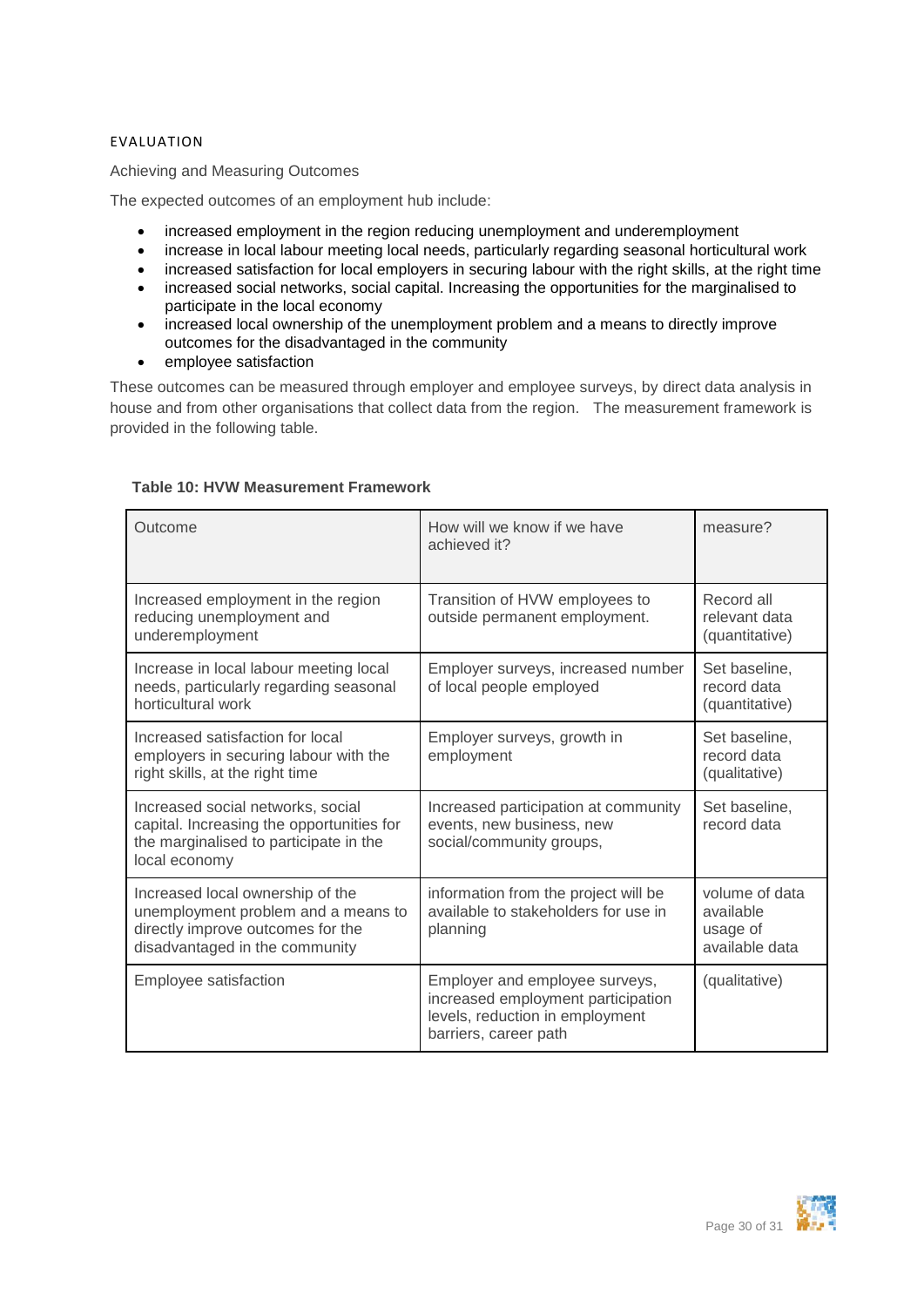#### <span id="page-29-0"></span>EVALUATION

Achieving and Measuring Outcomes

The expected outcomes of an employment hub include:

- increased employment in the region reducing unemployment and underemployment
- increase in local labour meeting local needs, particularly regarding seasonal horticultural work
- increased satisfaction for local employers in securing labour with the right skills, at the right time
- increased social networks, social capital. Increasing the opportunities for the marginalised to participate in the local economy
- increased local ownership of the unemployment problem and a means to directly improve outcomes for the disadvantaged in the community
- employee satisfaction

These outcomes can be measured through employer and employee surveys, by direct data analysis in house and from other organisations that collect data from the region. The measurement framework is provided in the following table.

| Outcome                                                                                                                                        | How will we know if we have<br>achieved it?                                                                                      | measure?                                                  |
|------------------------------------------------------------------------------------------------------------------------------------------------|----------------------------------------------------------------------------------------------------------------------------------|-----------------------------------------------------------|
| Increased employment in the region<br>reducing unemployment and<br>underemployment                                                             | Transition of HVW employees to<br>outside permanent employment.                                                                  | Record all<br>relevant data<br>(quantitative)             |
| Increase in local labour meeting local<br>needs, particularly regarding seasonal<br>horticultural work                                         | Employer surveys, increased number<br>of local people employed                                                                   | Set baseline.<br>record data<br>(quantitative)            |
| Increased satisfaction for local<br>employers in securing labour with the<br>right skills, at the right time                                   | Employer surveys, growth in<br>employment                                                                                        | Set baseline,<br>record data<br>(qualitative)             |
| Increased social networks, social<br>capital. Increasing the opportunities for<br>the marginalised to participate in the<br>local economy      | Increased participation at community<br>events, new business, new<br>social/community groups,                                    | Set baseline,<br>record data                              |
| Increased local ownership of the<br>unemployment problem and a means to<br>directly improve outcomes for the<br>disadvantaged in the community | information from the project will be<br>available to stakeholders for use in<br>planning                                         | volume of data<br>available<br>usage of<br>available data |
| Employee satisfaction                                                                                                                          | Employer and employee surveys,<br>increased employment participation<br>levels, reduction in employment<br>barriers, career path | (qualitative)                                             |

#### **Table 10: HVW Measurement Framework**